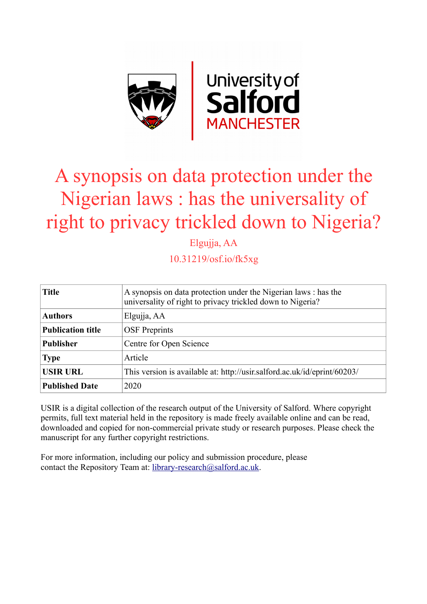

# A synopsis on data protection under the Nigerian laws : has the universality of right to privacy trickled down to Nigeria?

Elgujja, AA

10.31219/osf.io/fk5xg

| <b>Title</b>             | A synopsis on data protection under the Nigerian laws : has the<br>universality of right to privacy trickled down to Nigeria? |
|--------------------------|-------------------------------------------------------------------------------------------------------------------------------|
| <b>Authors</b>           | Elgujja, AA                                                                                                                   |
| <b>Publication title</b> | <b>OSF</b> Preprints                                                                                                          |
| <b>Publisher</b>         | Centre for Open Science                                                                                                       |
| <b>Type</b>              | Article                                                                                                                       |
| <b>USIR URL</b>          | This version is available at: http://usir.salford.ac.uk/id/eprint/60203/                                                      |
| <b>Published Date</b>    | 2020                                                                                                                          |

USIR is a digital collection of the research output of the University of Salford. Where copyright permits, full text material held in the repository is made freely available online and can be read, downloaded and copied for non-commercial private study or research purposes. Please check the manuscript for any further copyright restrictions.

For more information, including our policy and submission procedure, please contact the Repository Team at: [library-research@salford.ac.uk.](mailto:library-research@salford.ac.uk)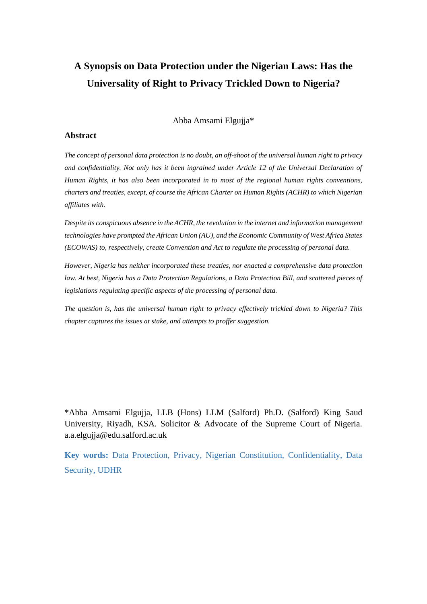## **A Synopsis on Data Protection under the Nigerian Laws: Has the Universality of Right to Privacy Trickled Down to Nigeria?**

Abba Amsami Elgujja\*

#### **Abstract**

*The concept of personal data protection is no doubt, an off-shoot of the universal human right to privacy and confidentiality. Not only has it been ingrained under Article 12 of the Universal Declaration of Human Rights, it has also been incorporated in to most of the regional human rights conventions, charters and treaties, except, of course the African Charter on Human Rights (ACHR) to which Nigerian affiliates with.* 

*Despite its conspicuous absence in the ACHR, the revolution in the internet and information management technologies have prompted the African Union (AU), and the Economic Community of West Africa States (ECOWAS) to, respectively, create Convention and Act to regulate the processing of personal data.*

*However, Nigeria has neither incorporated these treaties, nor enacted a comprehensive data protection law. At best, Nigeria has a Data Protection Regulations, a Data Protection Bill, and scattered pieces of legislations regulating specific aspects of the processing of personal data.*

*The question is, has the universal human right to privacy effectively trickled down to Nigeria? This chapter captures the issues at stake, and attempts to proffer suggestion.*

\*Abba Amsami Elgujja, LLB (Hons) LLM (Salford) Ph.D. (Salford) King Saud University, Riyadh, KSA. Solicitor & Advocate of the Supreme Court of Nigeria. [a.a.elgujja@edu.salford.ac.uk](mailto:a.a.elgujja@edu.salford.ac.uk)

**Key words:** Data Protection, Privacy, Nigerian Constitution, Confidentiality, Data Security, UDHR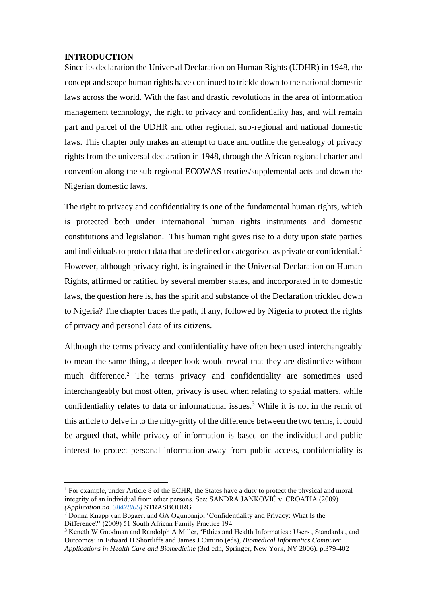#### **INTRODUCTION**

Since its declaration the Universal Declaration on Human Rights (UDHR) in 1948, the concept and scope human rights have continued to trickle down to the national domestic laws across the world. With the fast and drastic revolutions in the area of information management technology, the right to privacy and confidentiality has, and will remain part and parcel of the UDHR and other regional, sub-regional and national domestic laws. This chapter only makes an attempt to trace and outline the genealogy of privacy rights from the universal declaration in 1948, through the African regional charter and convention along the sub-regional ECOWAS treaties/supplemental acts and down the Nigerian domestic laws.

The right to privacy and confidentiality is one of the fundamental human rights, which is protected both under international human rights instruments and domestic constitutions and legislation. This human right gives rise to a duty upon state parties and individuals to protect data that are defined or categorised as private or confidential.<sup>1</sup> However, although privacy right, is ingrained in the Universal Declaration on Human Rights, affirmed or ratified by several member states, and incorporated in to domestic laws, the question here is, has the spirit and substance of the Declaration trickled down to Nigeria? The chapter traces the path, if any, followed by Nigeria to protect the rights of privacy and personal data of its citizens.

Although the terms privacy and confidentiality have often been used interchangeably to mean the same thing, a deeper look would reveal that they are distinctive without much difference.<sup>2</sup> The terms privacy and confidentiality are sometimes used interchangeably but most often, privacy is used when relating to spatial matters, while confidentiality relates to data or informational issues. <sup>3</sup> While it is not in the remit of this article to delve in to the nitty-gritty of the difference between the two terms, it could be argued that, while privacy of information is based on the individual and public interest to protect personal information away from public access, confidentiality is

<sup>&</sup>lt;sup>1</sup> For example, under Article 8 of the ECHR, the States have a duty to protect the physical and moral integrity of an individual from other persons. See: SANDRA JANKOVIĆ v. CROATIA (2009) *(Application no. [38478/05\)](https://hudoc.echr.coe.int/eng#{%22appno%22:[%2238478/05%22]})* STRASBOURG

<sup>&</sup>lt;sup>2</sup> Donna Knapp van Bogaert and GA Ogunbanjo, 'Confidentiality and Privacy: What Is the Difference?' (2009) 51 South African Family Practice 194.

<sup>3</sup> Keneth W Goodman and Randolph A Miller, 'Ethics and Health Informatics : Users , Standards , and Outcomes' in Edward H Shortliffe and James J Cimino (eds), *Biomedical Informatics Computer Applications in Health Care and Biomedicine* (3rd edn, Springer, New York, NY 2006). p.379-402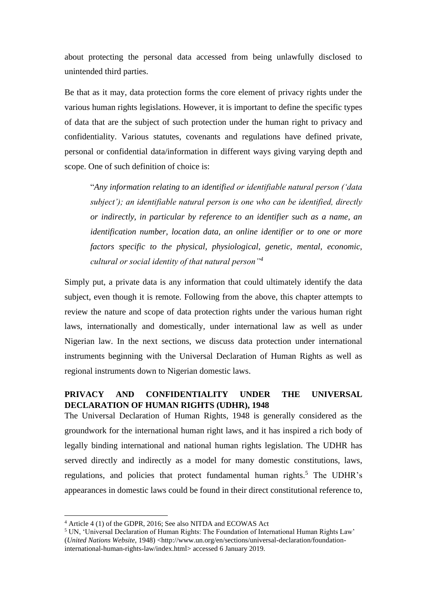about protecting the personal data accessed from being unlawfully disclosed to unintended third parties.

Be that as it may, data protection forms the core element of privacy rights under the various human rights legislations. However, it is important to define the specific types of data that are the subject of such protection under the human right to privacy and confidentiality. Various statutes, covenants and regulations have defined private, personal or confidential data/information in different ways giving varying depth and scope. One of such definition of choice is:

"*Any information relating to an identified or identifiable natural person ('data subject'); an identifiable natural person is one who can be identified, directly or indirectly, in particular by reference to an identifier such as a name, an identification number, location data, an online identifier or to one or more factors specific to the physical, physiological, genetic, mental, economic, cultural or social identity of that natural person"<sup>4</sup>*

Simply put, a private data is any information that could ultimately identify the data subject, even though it is remote. Following from the above, this chapter attempts to review the nature and scope of data protection rights under the various human right laws, internationally and domestically, under international law as well as under Nigerian law. In the next sections, we discuss data protection under international instruments beginning with the Universal Declaration of Human Rights as well as regional instruments down to Nigerian domestic laws.

#### **PRIVACY AND CONFIDENTIALITY UNDER THE UNIVERSAL DECLARATION OF HUMAN RIGHTS (UDHR), 1948**

The Universal Declaration of Human Rights, 1948 is generally considered as the groundwork for the international human right laws, and it has inspired a rich body of legally binding international and national human rights legislation. The UDHR has served directly and indirectly as a model for many domestic constitutions, laws, regulations, and policies that protect fundamental human rights.<sup>5</sup> The UDHR's appearances in domestic laws could be found in their direct constitutional reference to,

<sup>4</sup> Article 4 (1) of the GDPR, 2016; See also NITDA and ECOWAS Act

<sup>5</sup> UN, 'Universal Declaration of Human Rights: The Foundation of International Human Rights Law' (*United Nations Website*, 1948) <http://www.un.org/en/sections/universal-declaration/foundationinternational-human-rights-law/index.html> accessed 6 January 2019.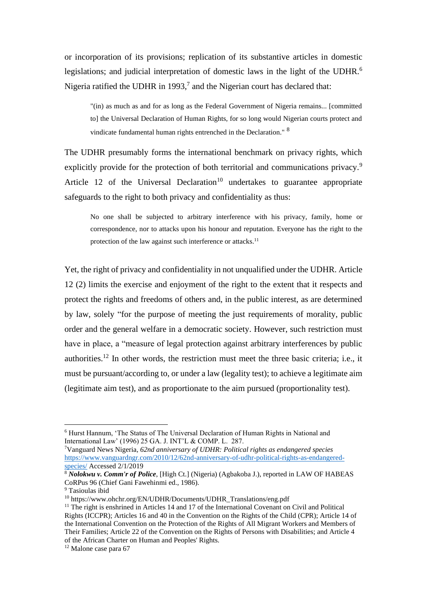or incorporation of its provisions; replication of its substantive articles in domestic legislations; and judicial interpretation of domestic laws in the light of the UDHR.<sup>6</sup> Nigeria ratified the UDHR in 1993,<sup>7</sup> and the Nigerian court has declared that:

"(in) as much as and for as long as the Federal Government of Nigeria remains... [committed to] the Universal Declaration of Human Rights, for so long would Nigerian courts protect and vindicate fundamental human rights entrenched in the Declaration." <sup>8</sup>

The UDHR presumably forms the international benchmark on privacy rights, which explicitly provide for the protection of both territorial and communications privacy.<sup>9</sup> Article 12 of the Universal Declaration<sup>10</sup> undertakes to guarantee appropriate safeguards to the right to both privacy and confidentiality as thus:

No one shall be subjected to arbitrary interference with his privacy, family, home or correspondence, nor to attacks upon his honour and reputation. Everyone has the right to the protection of the law against such interference or attacks.<sup>11</sup>

Yet, the right of privacy and confidentiality in not unqualified under the UDHR. Article 12 (2) limits the exercise and enjoyment of the right to the extent that it respects and protect the rights and freedoms of others and, in the public interest, as are determined by law, solely "for the purpose of meeting the just requirements of morality, public order and the general welfare in a democratic society. However, such restriction must have in place, a "measure of legal protection against arbitrary interferences by public authorities.<sup>12</sup> In other words, the restriction must meet the three basic criteria; i.e., it must be pursuant/according to, or under a law (legality test); to achieve a legitimate aim (legitimate aim test), and as proportionate to the aim pursued (proportionality test).

<sup>6</sup> Hurst Hannum, 'The Status of The Universal Declaration of Human Rights in National and International Law' (1996) 25 GA. J. INT'L & COMP. L. 287.

<sup>7</sup>Vanguard News Nigeria, *62nd anniversary of UDHR: Political rights as endangered species* [https://www.vanguardngr.com/2010/12/62nd-anniversary-of-udhr-political-rights-as-endangered](https://www.vanguardngr.com/2010/12/62nd-anniversary-of-udhr-political-rights-as-endangered-species/)[species/](https://www.vanguardngr.com/2010/12/62nd-anniversary-of-udhr-political-rights-as-endangered-species/) Accessed 2/1/2019

<sup>8</sup> *Nolokwu v. Comm'r of Police*, [High Ct.] (Nigeria) (Agbakoba J.), reported in LAW OF HABEAS CoRPus 96 (Chief Gani Fawehinmi ed., 1986).

<sup>&</sup>lt;sup>9</sup> Tasioulas ibid

<sup>10</sup> https://www.ohchr.org/EN/UDHR/Documents/UDHR\_Translations/eng.pdf

 $11$  The right is enshrined in Articles 14 and 17 of the International Covenant on Civil and Political Rights (ICCPR); Articles 16 and 40 in the Convention on the Rights of the Child (CPR); Article 14 of the International Convention on the Protection of the Rights of All Migrant Workers and Members of Their Families; Article 22 of the Convention on the Rights of Persons with Disabilities; and Article 4 of the African Charter on Human and Peoples' Rights.

<sup>12</sup> Malone case para 67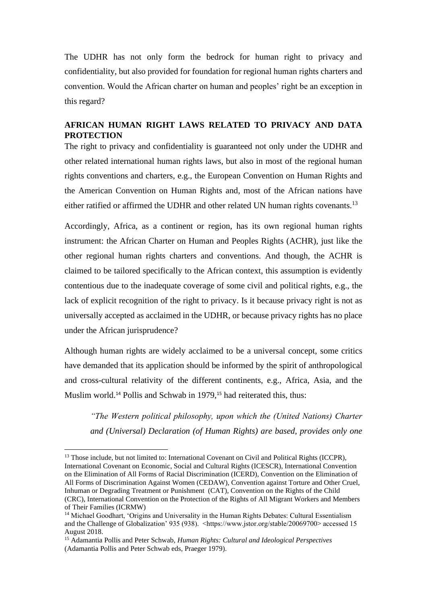The UDHR has not only form the bedrock for human right to privacy and confidentiality, but also provided for foundation for regional human rights charters and convention. Would the African charter on human and peoples' right be an exception in this regard?

#### **AFRICAN HUMAN RIGHT LAWS RELATED TO PRIVACY AND DATA PROTECTION**

The right to privacy and confidentiality is guaranteed not only under the UDHR and other related international human rights laws, but also in most of the regional human rights conventions and charters, e.g., the European Convention on Human Rights and the American Convention on Human Rights and, most of the African nations have either ratified or affirmed the UDHR and other related UN human rights covenants.<sup>13</sup>

Accordingly, Africa, as a continent or region, has its own regional human rights instrument: the African Charter on Human and Peoples Rights (ACHR), just like the other regional human rights charters and conventions. And though, the ACHR is claimed to be tailored specifically to the African context, this assumption is evidently contentious due to the inadequate coverage of some civil and political rights, e.g., the lack of explicit recognition of the right to privacy. Is it because privacy right is not as universally accepted as acclaimed in the UDHR, or because privacy rights has no place under the African jurisprudence?

Although human rights are widely acclaimed to be a universal concept, some critics have demanded that its application should be informed by the spirit of anthropological and cross-cultural relativity of the different continents, e.g., Africa, Asia, and the Muslim world.<sup>14</sup> Pollis and Schwab in 1979,<sup>15</sup> had reiterated this, thus:

*"The Western political philosophy, upon which the (United Nations) Charter and (Universal) Declaration (of Human Rights) are based, provides only one* 

<sup>&</sup>lt;sup>13</sup> Those include, but not limited to: International Covenant on Civil and Political Rights (ICCPR), International Covenant on Economic, Social and Cultural Rights (ICESCR), International Convention on the Elimination of All Forms of Racial Discrimination (ICERD), Convention on the Elimination of All Forms of Discrimination Against Women (CEDAW), Convention against Torture and Other Cruel, Inhuman or Degrading Treatment or Punishment (CAT), Convention on the Rights of the Child (CRC), International Convention on the Protection of the Rights of All Migrant Workers and Members of Their Families (ICRMW)

<sup>14</sup> Michael Goodhart, 'Origins and Universality in the Human Rights Debates: Cultural Essentialism and the Challenge of Globalization' 935 (938). <https://www.jstor.org/stable/20069700> accessed 15 August 2018.

<sup>15</sup> Adamantia Pollis and Peter Schwab, *Human Rights: Cultural and Ideological Perspectives* (Adamantia Pollis and Peter Schwab eds, Praeger 1979).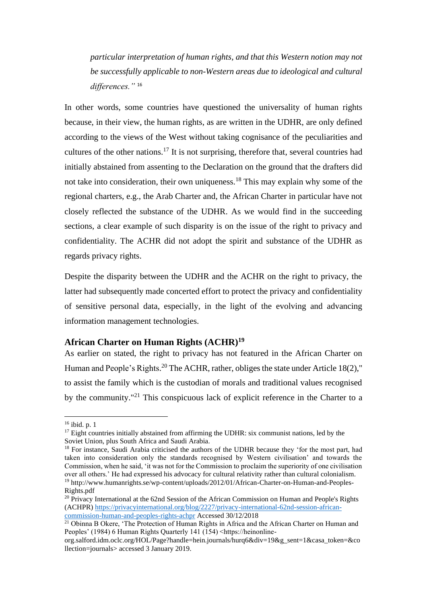*particular interpretation of human rights, and that this Western notion may not be successfully applicable to non-Western areas due to ideological and cultural differences."* <sup>16</sup>

In other words, some countries have questioned the universality of human rights because, in their view, the human rights, as are written in the UDHR, are only defined according to the views of the West without taking cognisance of the peculiarities and cultures of the other nations.<sup>17</sup> It is not surprising, therefore that, several countries had initially abstained from assenting to the Declaration on the ground that the drafters did not take into consideration, their own uniqueness.<sup>18</sup> This may explain why some of the regional charters, e.g., the Arab Charter and, the African Charter in particular have not closely reflected the substance of the UDHR. As we would find in the succeeding sections, a clear example of such disparity is on the issue of the right to privacy and confidentiality. The ACHR did not adopt the spirit and substance of the UDHR as regards privacy rights.

Despite the disparity between the UDHR and the ACHR on the right to privacy, the latter had subsequently made concerted effort to protect the privacy and confidentiality of sensitive personal data, especially, in the light of the evolving and advancing information management technologies.

#### **African Charter on Human Rights (ACHR) 19**

As earlier on stated, the right to privacy has not featured in the African Charter on Human and People's Rights.<sup>20</sup> The ACHR, rather, obliges the state under Article 18(2)," to assist the family which is the custodian of morals and traditional values recognised by the community."<sup>21</sup> This conspicuous lack of explicit reference in the Charter to a

<sup>16</sup> ibid. p. 1

 $17$  Eight countries initially abstained from affirming the UDHR: six communist nations, led by the Soviet Union, plus South Africa and Saudi Arabia.

<sup>&</sup>lt;sup>18</sup> For instance, Saudi Arabia criticised the authors of the UDHR because they 'for the most part, had taken into consideration only the standards recognised by Western civilisation' and towards the Commission, when he said, 'it was not for the Commission to proclaim the superiority of one civilisation over all others.' He had expressed his advocacy for cultural relativity rather than cultural colonialism. <sup>19</sup> http://www.humanrights.se/wp-content/uploads/2012/01/African-Charter-on-Human-and-Peoples-Rights.pdf

<sup>&</sup>lt;sup>20</sup> Privacy International at the 62nd Session of the African Commission on Human and People's Rights (ACHPR) [https://privacyinternational.org/blog/2227/privacy-international-62nd-session-african](https://privacyinternational.org/blog/2227/privacy-international-62nd-session-african-commission-human-and-peoples-rights-achpr)[commission-human-and-peoples-rights-achpr](https://privacyinternational.org/blog/2227/privacy-international-62nd-session-african-commission-human-and-peoples-rights-achpr) Accessed 30/12/2018

<sup>&</sup>lt;sup>21</sup> Obinna B Okere, 'The Protection of Human Rights in Africa and the African Charter on Human and Peoples' (1984) 6 Human Rights Quarterly 141 (154) <https://heinonline-

org.salford.idm.oclc.org/HOL/Page?handle=hein.journals/hurq6&div=19&g\_sent=1&casa\_token=&co llection=journals> accessed 3 January 2019.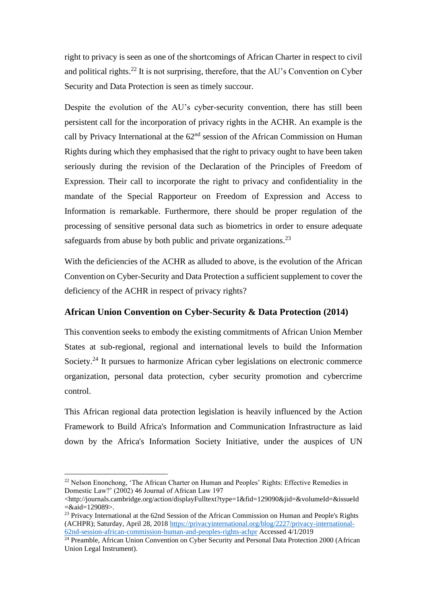right to privacy is seen as one of the shortcomings of African Charter in respect to civil and political rights.<sup>22</sup> It is not surprising, therefore, that the AU's Convention on Cyber Security and Data Protection is seen as timely succour.

Despite the evolution of the AU's cyber-security convention, there has still been persistent call for the incorporation of privacy rights in the ACHR. An example is the call by Privacy International at the  $62<sup>nd</sup>$  session of the African Commission on Human Rights during which they emphasised that the right to privacy ought to have been taken seriously during the revision of the Declaration of the Principles of Freedom of Expression. Their call to incorporate the right to privacy and confidentiality in the mandate of the Special Rapporteur on Freedom of Expression and Access to Information is remarkable. Furthermore, there should be proper regulation of the processing of sensitive personal data such as biometrics in order to ensure adequate safeguards from abuse by both public and private organizations.<sup>23</sup>

With the deficiencies of the ACHR as alluded to above, is the evolution of the African Convention on Cyber-Security and Data Protection a sufficient supplement to cover the deficiency of the ACHR in respect of privacy rights?

#### **African Union Convention on Cyber-Security & Data Protection (2014)**

This convention seeks to embody the existing commitments of African Union Member States at sub-regional, regional and international levels to build the Information Society.<sup>24</sup> It pursues to harmonize African cyber legislations on electronic commerce organization, personal data protection, cyber security promotion and cybercrime control.

This African regional data protection legislation is heavily influenced by the Action Framework to Build Africa's Information and Communication Infrastructure as laid down by the Africa's Information Society Initiative, under the auspices of UN

<sup>&</sup>lt;sup>22</sup> Nelson Enonchong, 'The African Charter on Human and Peoples' Rights: Effective Remedies in Domestic Law?' (2002) 46 Journal of African Law 197

<sup>&</sup>lt;http://journals.cambridge.org/action/displayFulltext?type=1&fid=129090&jid=&volumeId=&issueId =&aid=129089>.

<sup>&</sup>lt;sup>23</sup> Privacy International at the 62nd Session of the African Commission on Human and People's Rights (ACHPR); Saturday, April 28, 2018 [https://privacyinternational.org/blog/2227/privacy-international-](https://privacyinternational.org/blog/2227/privacy-international-62nd-session-african-commission-human-and-peoples-rights-achpr)[62nd-session-african-commission-human-and-peoples-rights-achpr](https://privacyinternational.org/blog/2227/privacy-international-62nd-session-african-commission-human-and-peoples-rights-achpr) Accessed 4/1/2019

<sup>&</sup>lt;sup>24</sup> Preamble, African Union Convention on Cyber Security and Personal Data Protection 2000 (African Union Legal Instrument).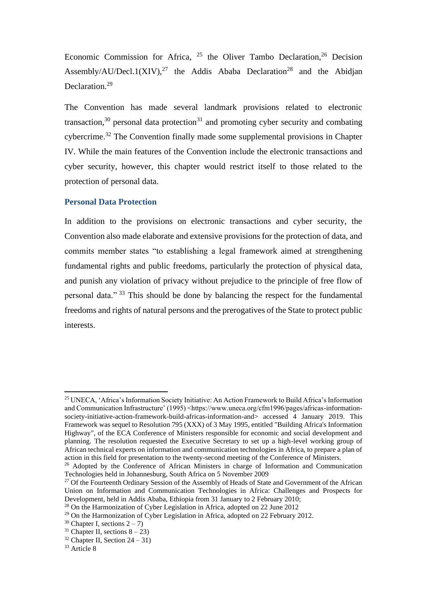Economic Commission for Africa,  $25$  the Oliver Tambo Declaration,  $26$  Decision Assembly/AU/Decl.1(XIV),<sup>27</sup> the Addis Ababa Declaration<sup>28</sup> and the Abidjan Declaration.<sup>29</sup>

The Convention has made several landmark provisions related to electronic transaction, $30$  personal data protection $31$  and promoting cyber security and combating cybercrime.<sup>32</sup> The Convention finally made some supplemental provisions in Chapter IV. While the main features of the Convention include the electronic transactions and cyber security, however, this chapter would restrict itself to those related to the protection of personal data.

#### **Personal Data Protection**

In addition to the provisions on electronic transactions and cyber security, the Convention also made elaborate and extensive provisions for the protection of data, and commits member states "to establishing a legal framework aimed at strengthening fundamental rights and public freedoms, particularly the protection of physical data, and punish any violation of privacy without prejudice to the principle of free flow of personal data." <sup>33</sup> This should be done by balancing the respect for the fundamental freedoms and rights of natural persons and the prerogatives of the State to protect public interests.

<sup>25</sup> UNECA, 'Africa's Information Society Initiative: An Action Framework to Build Africa's Information and Communication Infrastructure' (1995) <https://www.uneca.org/cfm1996/pages/africas-informationsociety-initiative-action-framework-build-africas-information-and> accessed 4 January 2019. This Framework was sequel to Resolution 795 (XXX) of 3 May 1995, entitled "Building Africa's Information Highway", of the ECA Conference of Ministers responsible for economic and social development and planning. The resolution requested the Executive Secretary to set up a high-level working group of African technical experts on information and communication technologies in Africa, to prepare a plan of action in this field for presentation to the twenty-second meeting of the Conference of Ministers.

<sup>&</sup>lt;sup>26</sup> Adopted by the Conference of African Ministers in charge of Information and Communication Technologies held in Johannesburg, South Africa on 5 November 2009

<sup>&</sup>lt;sup>27</sup> Of the Fourteenth Ordinary Session of the Assembly of Heads of State and Government of the African Union on Information and Communication Technologies in Africa: Challenges and Prospects for Development, held in Addis Ababa, Ethiopia from 31 January to 2 February 2010;

<sup>&</sup>lt;sup>28</sup> On the Harmonization of Cyber Legislation in Africa, adopted on 22 June 2012

<sup>&</sup>lt;sup>29</sup> On the Harmonization of Cyber Legislation in Africa, adopted on 22 February 2012.

<sup>&</sup>lt;sup>30</sup> Chapter I, sections  $2 - 7$ )

<sup>&</sup>lt;sup>31</sup> Chapter II, sections  $8 - 23$ )

 $32$  Chapter II, Section 24 – 31)

<sup>&</sup>lt;sup>33</sup> Article 8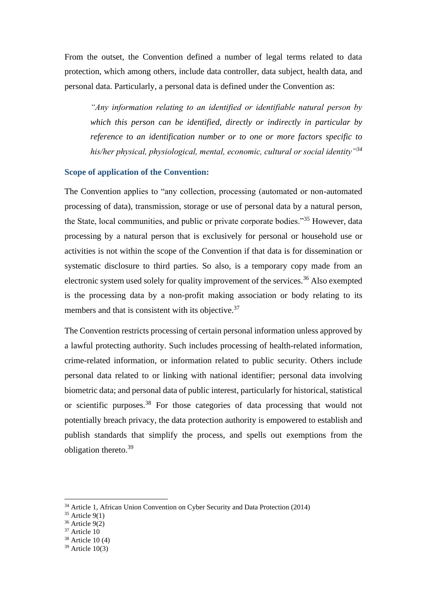From the outset, the Convention defined a number of legal terms related to data protection, which among others, include data controller, data subject, health data, and personal data. Particularly, a personal data is defined under the Convention as:

*"Any information relating to an identified or identifiable natural person by which this person can be identified, directly or indirectly in particular by reference to an identification number or to one or more factors specific to his/her physical, physiological, mental, economic, cultural or social identity"<sup>34</sup>*

#### **Scope of application of the Convention:**

The Convention applies to "any collection, processing (automated or non-automated processing of data), transmission, storage or use of personal data by a natural person, the State, local communities, and public or private corporate bodies."<sup>35</sup> However, data processing by a natural person that is exclusively for personal or household use or activities is not within the scope of the Convention if that data is for dissemination or systematic disclosure to third parties. So also, is a temporary copy made from an electronic system used solely for quality improvement of the services.<sup>36</sup> Also exempted is the processing data by a non-profit making association or body relating to its members and that is consistent with its objective.<sup>37</sup>

The Convention restricts processing of certain personal information unless approved by a lawful protecting authority. Such includes processing of health-related information, crime-related information, or information related to public security. Others include personal data related to or linking with national identifier; personal data involving biometric data; and personal data of public interest, particularly for historical, statistical or scientific purposes.<sup>38</sup> For those categories of data processing that would not potentially breach privacy, the data protection authority is empowered to establish and publish standards that simplify the process, and spells out exemptions from the obligation thereto. 39

<sup>34</sup> Article 1, African Union Convention on Cyber Security and Data Protection (2014)

 $35$  Article 9(1)

<sup>36</sup> Article 9(2)

<sup>37</sup> Article 10

 $38$  Article 10 (4)

 $39$  Article  $10(3)$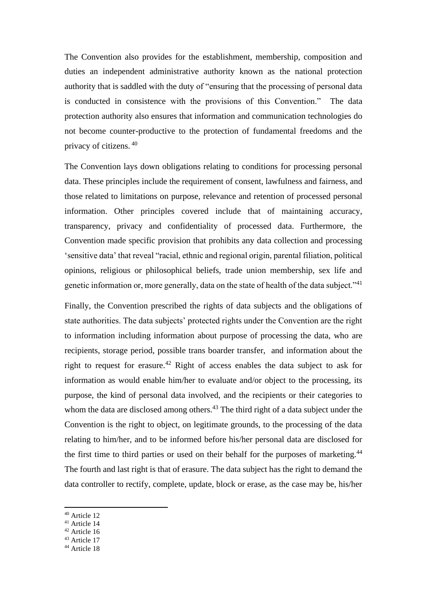The Convention also provides for the establishment, membership, composition and duties an independent administrative authority known as the national protection authority that is saddled with the duty of "ensuring that the processing of personal data is conducted in consistence with the provisions of this Convention." The data protection authority also ensures that information and communication technologies do not become counter-productive to the protection of fundamental freedoms and the privacy of citizens. <sup>40</sup>

The Convention lays down obligations relating to conditions for processing personal data. These principles include the requirement of consent, lawfulness and fairness, and those related to limitations on purpose, relevance and retention of processed personal information. Other principles covered include that of maintaining accuracy, transparency, privacy and confidentiality of processed data. Furthermore, the Convention made specific provision that prohibits any data collection and processing 'sensitive data' that reveal "racial, ethnic and regional origin, parental filiation, political opinions, religious or philosophical beliefs, trade union membership, sex life and genetic information or, more generally, data on the state of health of the data subject."<sup>41</sup>

Finally, the Convention prescribed the rights of data subjects and the obligations of state authorities. The data subjects' protected rights under the Convention are the right to information including information about purpose of processing the data, who are recipients, storage period, possible trans boarder transfer, and information about the right to request for erasure.<sup>42</sup> Right of access enables the data subject to ask for information as would enable him/her to evaluate and/or object to the processing, its purpose, the kind of personal data involved, and the recipients or their categories to whom the data are disclosed among others.<sup>43</sup> The third right of a data subject under the Convention is the right to object, on legitimate grounds, to the processing of the data relating to him/her, and to be informed before his/her personal data are disclosed for the first time to third parties or used on their behalf for the purposes of marketing.<sup>44</sup> The fourth and last right is that of erasure. The data subject has the right to demand the data controller to rectify, complete, update, block or erase, as the case may be, his/her

- <sup>41</sup> Article 14
- <sup>42</sup> Article 16
- <sup>43</sup> Article 17
- <sup>44</sup> Article 18

<sup>40</sup> Article 12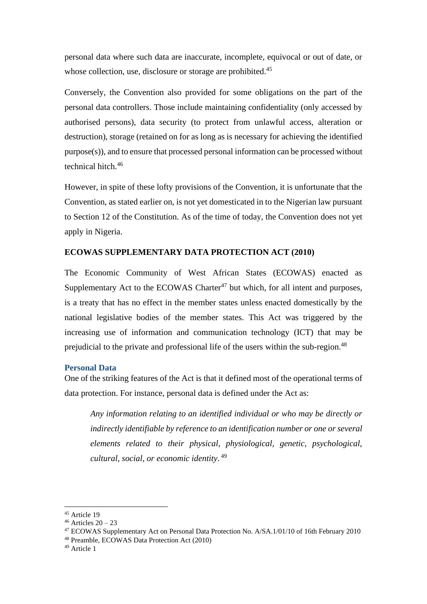personal data where such data are inaccurate, incomplete, equivocal or out of date, or whose collection, use, disclosure or storage are prohibited.<sup>45</sup>

Conversely, the Convention also provided for some obligations on the part of the personal data controllers. Those include maintaining confidentiality (only accessed by authorised persons), data security (to protect from unlawful access, alteration or destruction), storage (retained on for as long as is necessary for achieving the identified purpose(s)), and to ensure that processed personal information can be processed without technical hitch.<sup>46</sup>

However, in spite of these lofty provisions of the Convention, it is unfortunate that the Convention, as stated earlier on, is not yet domesticated in to the Nigerian law pursuant to Section 12 of the Constitution. As of the time of today, the Convention does not yet apply in Nigeria.

#### **ECOWAS SUPPLEMENTARY DATA PROTECTION ACT (2010)**

The Economic Community of West African States (ECOWAS) enacted as Supplementary Act to the ECOWAS Charter<sup>47</sup> but which, for all intent and purposes, is a treaty that has no effect in the member states unless enacted domestically by the national legislative bodies of the member states. This Act was triggered by the increasing use of information and communication technology (ICT) that may be prejudicial to the private and professional life of the users within the sub-region.<sup>48</sup>

#### **Personal Data**

One of the striking features of the Act is that it defined most of the operational terms of data protection. For instance, personal data is defined under the Act as:

*Any information relating to an identified individual or who may be directly or indirectly identifiable by reference to an identification number or one or several elements related to their physical, physiological, genetic, psychological, cultural, social, or economic identity*. 49

- <sup>47</sup> ECOWAS Supplementary Act on Personal Data Protection No. A/SA.1/01/10 of 16th February 2010
- <sup>48</sup> Preamble, ECOWAS Data Protection Act (2010)

<sup>45</sup> Article 19

 $46$  Articles  $20 - 23$ 

<sup>49</sup> Article 1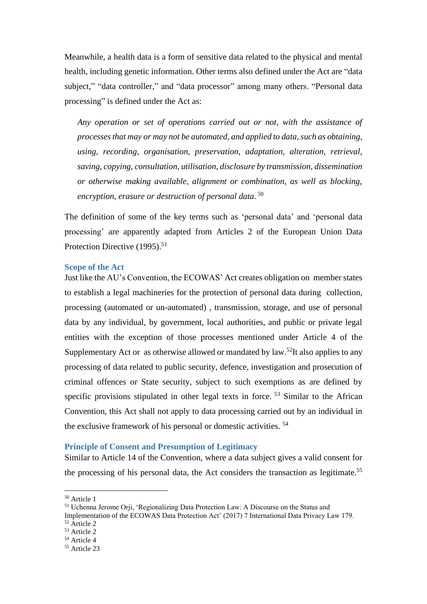Meanwhile, a health data is a form of sensitive data related to the physical and mental health, including genetic information. Other terms also defined under the Act are "data subject," "data controller," and "data processor" among many others. "Personal data processing" is defined under the Act as:

*Any operation or set of operations carried out or not, with the assistance of processes that may or may not be automated, and applied to data, such as obtaining, using, recording, organisation, preservation, adaptation, alteration, retrieval, saving, copying, consultation, utilisation, disclosure by transmission, dissemination or otherwise making available, alignment or combination, as well as blocking, encryption, erasure or destruction of personal data*. 50

The definition of some of the key terms such as 'personal data' and 'personal data processing' are apparently adapted from Articles 2 of the European Union Data Protection Directive (1995).<sup>51</sup>

#### **Scope of the Act**

Just like the AU's Convention, the ECOWAS' Act creates obligation on member states to establish a legal machineries for the protection of personal data during collection, processing (automated or un-automated) , transmission, storage, and use of personal data by any individual, by government, local authorities, and public or private legal entities with the exception of those processes mentioned under Article 4 of the Supplementary Act or as otherwise allowed or mandated by law.<sup>52</sup>It also applies to any processing of data related to public security, defence, investigation and prosecution of criminal offences or State security, subject to such exemptions as are defined by specific provisions stipulated in other legal texts in force. <sup>53</sup> Similar to the African Convention, this Act shall not apply to data processing carried out by an individual in the exclusive framework of his personal or domestic activities. <sup>54</sup>

#### **Principle of Consent and Presumption of Legitimacy**

Similar to Article 14 of the Convention, where a data subject gives a valid consent for the processing of his personal data, the Act considers the transaction as legitimate.<sup>55</sup>

<sup>50</sup> Article 1

<sup>51</sup> Uchenna Jerome Orji, 'Regionalizing Data Protection Law: A Discourse on the Status and

Implementation of the ECOWAS Data Protection Act' (2017) 7 International Data Privacy Law 179. <sup>52</sup> Article 2

<sup>53</sup> Article 2

<sup>54</sup> Article 4

<sup>55</sup> Article 23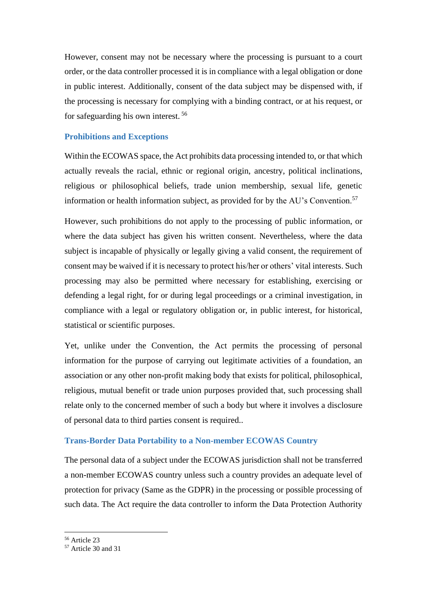However, consent may not be necessary where the processing is pursuant to a court order, or the data controller processed it is in compliance with a legal obligation or done in public interest. Additionally, consent of the data subject may be dispensed with, if the processing is necessary for complying with a binding contract, or at his request, or for safeguarding his own interest. 56

#### **Prohibitions and Exceptions**

Within the ECOWAS space, the Act prohibits data processing intended to, or that which actually reveals the racial, ethnic or regional origin, ancestry, political inclinations, religious or philosophical beliefs, trade union membership, sexual life, genetic information or health information subject, as provided for by the  $AU$ 's Convention.<sup>57</sup>

However, such prohibitions do not apply to the processing of public information, or where the data subject has given his written consent. Nevertheless, where the data subject is incapable of physically or legally giving a valid consent, the requirement of consent may be waived if it is necessary to protect his/her or others' vital interests. Such processing may also be permitted where necessary for establishing, exercising or defending a legal right, for or during legal proceedings or a criminal investigation, in compliance with a legal or regulatory obligation or, in public interest, for historical, statistical or scientific purposes.

Yet, unlike under the Convention, the Act permits the processing of personal information for the purpose of carrying out legitimate activities of a foundation, an association or any other non-profit making body that exists for political, philosophical, religious, mutual benefit or trade union purposes provided that, such processing shall relate only to the concerned member of such a body but where it involves a disclosure of personal data to third parties consent is required..

#### **Trans-Border Data Portability to a Non-member ECOWAS Country**

The personal data of a subject under the ECOWAS jurisdiction shall not be transferred a non-member ECOWAS country unless such a country provides an adequate level of protection for privacy (Same as the GDPR) in the processing or possible processing of such data. The Act require the data controller to inform the Data Protection Authority

<sup>56</sup> Article 23

<sup>57</sup> Article 30 and 31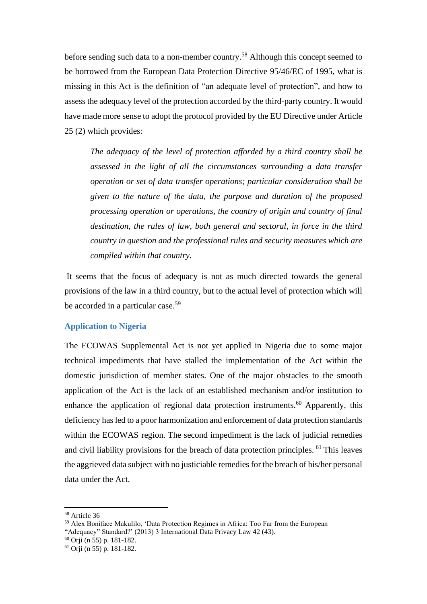before sending such data to a non-member country. <sup>58</sup> Although this concept seemed to be borrowed from the European Data Protection Directive 95/46/EC of 1995, what is missing in this Act is the definition of "an adequate level of protection", and how to assess the adequacy level of the protection accorded by the third-party country. It would have made more sense to adopt the protocol provided by the EU Directive under Article 25 (2) which provides:

*The adequacy of the level of protection afforded by a third country shall be assessed in the light of all the circumstances surrounding a data transfer operation or set of data transfer operations; particular consideration shall be given to the nature of the data, the purpose and duration of the proposed processing operation or operations, the country of origin and country of final destination, the rules of law, both general and sectoral, in force in the third country in question and the professional rules and security measures which are compiled within that country.*

It seems that the focus of adequacy is not as much directed towards the general provisions of the law in a third country, but to the actual level of protection which will be accorded in a particular case.<sup>59</sup>

#### **Application to Nigeria**

The ECOWAS Supplemental Act is not yet applied in Nigeria due to some major technical impediments that have stalled the implementation of the Act within the domestic jurisdiction of member states. One of the major obstacles to the smooth application of the Act is the lack of an established mechanism and/or institution to enhance the application of regional data protection instruments.<sup>60</sup> Apparently, this deficiency has led to a poor harmonization and enforcement of data protection standards within the ECOWAS region. The second impediment is the lack of judicial remedies and civil liability provisions for the breach of data protection principles. <sup>61</sup> This leaves the aggrieved data subject with no justiciable remedies for the breach of his/her personal data under the Act.

<sup>58</sup> Article 36

<sup>59</sup> Alex Boniface Makulilo, 'Data Protection Regimes in Africa: Too Far from the European "Adequacy" Standard?' (2013) 3 International Data Privacy Law 42 (43).

 $60$  Orii (n 55) p. 181-182.

 $61$  Orii (n 55) p. 181-182.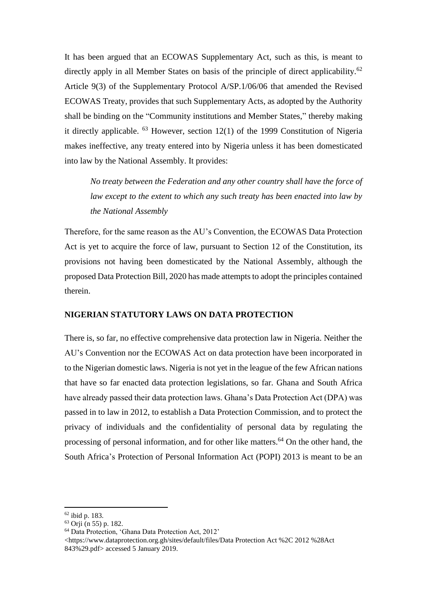It has been argued that an ECOWAS Supplementary Act, such as this, is meant to directly apply in all Member States on basis of the principle of direct applicability.<sup>62</sup> Article 9(3) of the Supplementary Protocol A/SP.1/06/06 that amended the Revised ECOWAS Treaty, provides that such Supplementary Acts, as adopted by the Authority shall be binding on the "Community institutions and Member States," thereby making it directly applicable. <sup>63</sup> However, section 12(1) of the 1999 Constitution of Nigeria makes ineffective, any treaty entered into by Nigeria unless it has been domesticated into law by the National Assembly. It provides:

*No treaty between the Federation and any other country shall have the force of law except to the extent to which any such treaty has been enacted into law by the National Assembly* 

Therefore, for the same reason as the AU's Convention, the ECOWAS Data Protection Act is yet to acquire the force of law, pursuant to Section 12 of the Constitution, its provisions not having been domesticated by the National Assembly, although the proposed Data Protection Bill, 2020 has made attempts to adopt the principles contained therein.

#### **NIGERIAN STATUTORY LAWS ON DATA PROTECTION**

There is, so far, no effective comprehensive data protection law in Nigeria. Neither the AU's Convention nor the ECOWAS Act on data protection have been incorporated in to the Nigerian domestic laws. Nigeria is not yet in the league of the few African nations that have so far enacted data protection legislations, so far. Ghana and South Africa have already passed their data protection laws. Ghana's Data Protection Act (DPA) was passed in to law in 2012, to establish a Data Protection Commission, and to protect the privacy of individuals and the confidentiality of personal data by regulating the processing of personal information, and for other like matters.<sup>64</sup> On the other hand, the South Africa's Protection of Personal Information Act (POPI) 2013 is meant to be an

<sup>62</sup> ibid p. 183.

 $63$  Orii (n 55) p. 182.

<sup>64</sup> Data Protection, 'Ghana Data Protection Act, 2012'

<sup>&</sup>lt;https://www.dataprotection.org.gh/sites/default/files/Data Protection Act %2C 2012 %28Act 843%29.pdf> accessed 5 January 2019.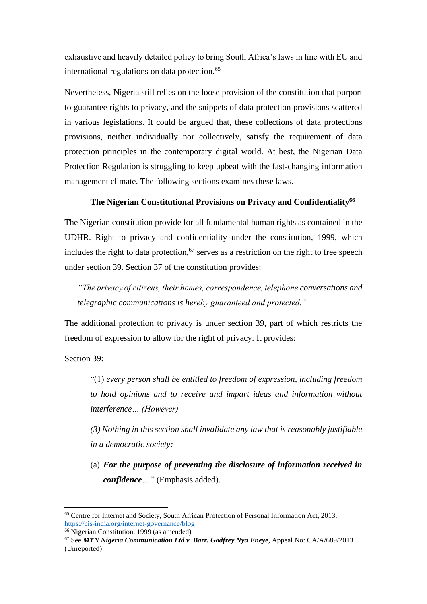exhaustive and heavily detailed policy to bring South Africa's laws in line with EU and international regulations on data protection.<sup>65</sup>

Nevertheless, Nigeria still relies on the loose provision of the constitution that purport to guarantee rights to privacy, and the snippets of data protection provisions scattered in various legislations. It could be argued that, these collections of data protections provisions, neither individually nor collectively, satisfy the requirement of data protection principles in the contemporary digital world. At best, the Nigerian Data Protection Regulation is struggling to keep upbeat with the fast-changing information management climate. The following sections examines these laws.

#### **The Nigerian Constitutional Provisions on Privacy and Confidentiality<sup>66</sup>**

The Nigerian constitution provide for all fundamental human rights as contained in the UDHR. Right to privacy and confidentiality under the constitution, 1999, which includes the right to data protection,  $67$  serves as a restriction on the right to free speech under section 39. Section 37 of the constitution provides:

*"The privacy of citizens, their homes, correspondence, telephone conversations and telegraphic communications is hereby guaranteed and protected."*

The additional protection to privacy is under section 39, part of which restricts the freedom of expression to allow for the right of privacy. It provides:

Section 39:

"(1) *every person shall be entitled to freedom of expression, including freedom to hold opinions and to receive and impart ideas and information without interference… (However)*

*(3) Nothing in this section shall invalidate any law that is reasonably justifiable in a democratic society:*

(a) *For the purpose of preventing the disclosure of information received in confidence…"* (Emphasis added).

<sup>65</sup> Centre for Internet and Society, South African Protection of Personal Information Act, 2013, <https://cis-india.org/internet-governance/blog>

<sup>66</sup> Nigerian Constitution, 1999 (as amended)

<sup>67</sup> See *MTN Nigeria Communication Ltd v. Barr. Godfrey Nya Eneye*, Appeal No: CA/A/689/2013 (Unreported)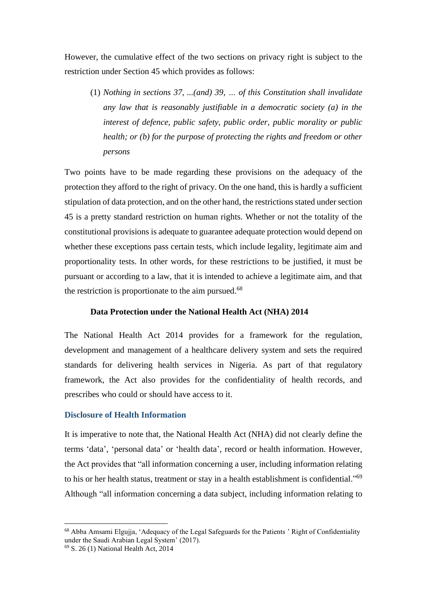However, the cumulative effect of the two sections on privacy right is subject to the restriction under Section 45 which provides as follows:

(1) *Nothing in sections 37, ...(and) 39, … of this Constitution shall invalidate any law that is reasonably justifiable in a democratic society (a) in the interest of defence, public safety, public order, public morality or public health; or (b) for the purpose of protecting the rights and freedom or other persons*

Two points have to be made regarding these provisions on the adequacy of the protection they afford to the right of privacy. On the one hand, this is hardly a sufficient stipulation of data protection, and on the other hand, the restrictions stated under section 45 is a pretty standard restriction on human rights. Whether or not the totality of the constitutional provisions is adequate to guarantee adequate protection would depend on whether these exceptions pass certain tests, which include legality, legitimate aim and proportionality tests. In other words, for these restrictions to be justified, it must be pursuant or according to a law, that it is intended to achieve a legitimate aim, and that the restriction is proportionate to the aim pursued.<sup>68</sup>

#### **Data Protection under the National Health Act (NHA) 2014**

The National Health Act 2014 provides for a framework for the regulation, development and management of a healthcare delivery system and sets the required standards for delivering health services in Nigeria. As part of that regulatory framework, the Act also provides for the confidentiality of health records, and prescribes who could or should have access to it.

#### **Disclosure of Health Information**

It is imperative to note that, the National Health Act (NHA) did not clearly define the terms 'data', 'personal data' or 'health data', record or health information. However, the Act provides that "all information concerning a user, including information relating to his or her health status, treatment or stay in a health establishment is confidential."<sup>69</sup> Although "all information concerning a data subject, including information relating to

<sup>68</sup> Abba Amsami Elgujja, 'Adequacy of the Legal Safeguards for the Patients ' Right of Confidentiality under the Saudi Arabian Legal System' (2017).

<sup>69</sup> S. 26 (1) National Health Act, 2014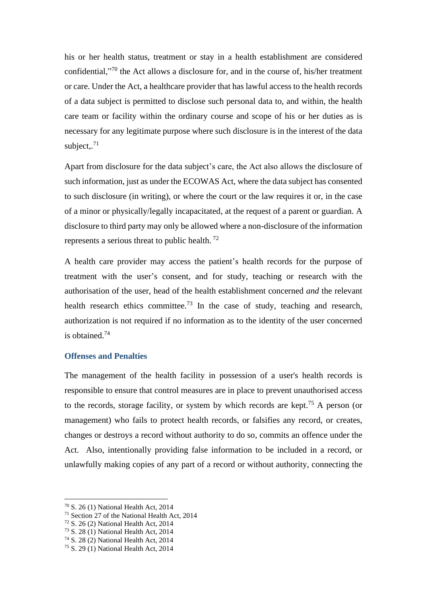his or her health status, treatment or stay in a health establishment are considered confidential," <sup>70</sup> the Act allows a disclosure for, and in the course of, his/her treatment or care. Under the Act, a healthcare provider that has lawful access to the health records of a data subject is permitted to disclose such personal data to, and within, the health care team or facility within the ordinary course and scope of his or her duties as is necessary for any legitimate purpose where such disclosure is in the interest of the data subject,. $71$ 

Apart from disclosure for the data subject's care, the Act also allows the disclosure of such information, just as under the ECOWAS Act, where the data subject has consented to such disclosure (in writing), or where the court or the law requires it or, in the case of a minor or physically/legally incapacitated, at the request of a parent or guardian. A disclosure to third party may only be allowed where a non-disclosure of the information represents a serious threat to public health. <sup>72</sup>

A health care provider may access the patient's health records for the purpose of treatment with the user's consent, and for study, teaching or research with the authorisation of the user, head of the health establishment concerned *and* the relevant health research ethics committee.<sup>73</sup> In the case of study, teaching and research, authorization is not required if no information as to the identity of the user concerned is obtained.<sup>74</sup>

#### **Offenses and Penalties**

The management of the health facility in possession of a user's health records is responsible to ensure that control measures are in place to prevent unauthorised access to the records, storage facility, or system by which records are kept.<sup>75</sup> A person (or management) who fails to protect health records, or falsifies any record, or creates, changes or destroys a record without authority to do so, commits an offence under the Act. Also, intentionally providing false information to be included in a record, or unlawfully making copies of any part of a record or without authority, connecting the

<sup>70</sup> S. 26 (1) National Health Act, 2014

<sup>71</sup> Section 27 of the National Health Act, 2014

<sup>72</sup> S. 26 (2) National Health Act, 2014

<sup>73</sup> S. 28 (1) National Health Act, 2014

<sup>74</sup> S. 28 (2) National Health Act, 2014

<sup>75</sup> S. 29 (1) National Health Act, 2014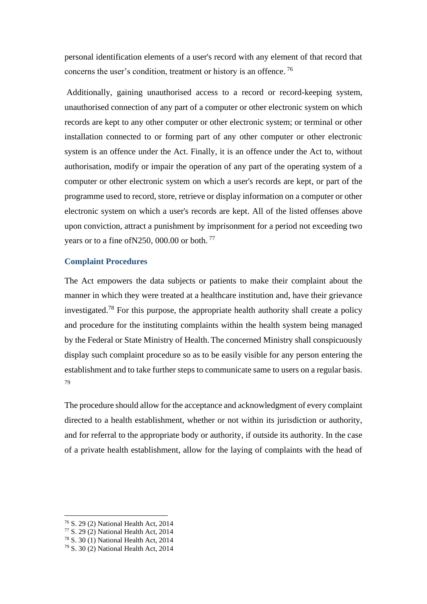personal identification elements of a user's record with any element of that record that concerns the user's condition, treatment or history is an offence. <sup>76</sup>

Additionally, gaining unauthorised access to a record or record-keeping system, unauthorised connection of any part of a computer or other electronic system on which records are kept to any other computer or other electronic system; or terminal or other installation connected to or forming part of any other computer or other electronic system is an offence under the Act. Finally, it is an offence under the Act to, without authorisation, modify or impair the operation of any part of the operating system of a computer or other electronic system on which a user's records are kept, or part of the programme used to record, store, retrieve or display information on a computer or other electronic system on which a user's records are kept. All of the listed offenses above upon conviction, attract a punishment by imprisonment for a period not exceeding two years or to a fine of N250, 000.00 or both.<sup>77</sup>

#### **Complaint Procedures**

The Act empowers the data subjects or patients to make their complaint about the manner in which they were treated at a healthcare institution and, have their grievance investigated.<sup>78</sup> For this purpose, the appropriate health authority shall create a policy and procedure for the instituting complaints within the health system being managed by the Federal or State Ministry of Health.The concerned Ministry shall conspicuously display such complaint procedure so as to be easily visible for any person entering the establishment and to take further steps to communicate same to users on a regular basis. 79

The procedure should allow for the acceptance and acknowledgment of every complaint directed to a health establishment, whether or not within its jurisdiction or authority, and for referral to the appropriate body or authority, if outside its authority. In the case of a private health establishment, allow for the laying of complaints with the head of

<sup>76</sup> S. 29 (2) National Health Act, 2014

<sup>77</sup> S. 29 (2) National Health Act, 2014

<sup>78</sup> S. 30 (1) National Health Act, 2014

<sup>79</sup> S. 30 (2) National Health Act, 2014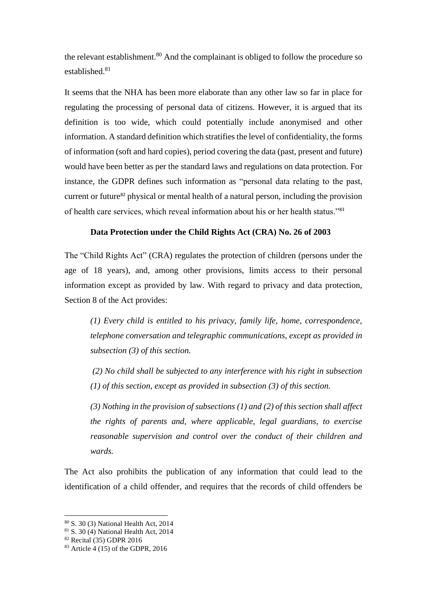the relevant establishment.<sup>80</sup> And the complainant is obliged to follow the procedure so established<sup>81</sup>

It seems that the NHA has been more elaborate than any other law so far in place for regulating the processing of personal data of citizens. However, it is argued that its definition is too wide, which could potentially include anonymised and other information. A standard definition which stratifies the level of confidentiality, the forms of information (soft and hard copies), period covering the data (past, present and future) would have been better as per the standard laws and regulations on data protection. For instance, the GDPR defines such information as "personal data relating to the past, current or future<sup>82</sup> physical or mental health of a natural person, including the provision of health care services, which reveal information about his or her health status."<sup>83</sup>

#### **Data Protection under the Child Rights Act (CRA) No. 26 of 2003**

The "Child Rights Act" (CRA) regulates the protection of children (persons under the age of 18 years), and, among other provisions, limits access to their personal information except as provided by law. With regard to privacy and data protection, Section 8 of the Act provides:

*(1) Every child is entitled to his privacy, family life, home, correspondence, telephone conversation and telegraphic communications, except as provided in subsection (3) of this section.* 

*(2) No child shall be subjected to any interference with his right in subsection (1) of this section, except as provided in subsection (3) of this section.* 

*(3) Nothing in the provision of subsections (1) and (2) of this section shall affect the rights of parents and, where applicable, legal guardians, to exercise reasonable supervision and control over the conduct of their children and wards.*

The Act also prohibits the publication of any information that could lead to the identification of a child offender, and requires that the records of child offenders be

<sup>80</sup> S. 30 (3) National Health Act, 2014

<sup>81</sup> S. 30 (4) National Health Act, 2014

<sup>82</sup> Recital (35) GDPR 2016

 $83$  Article 4 (15) of the GDPR, 2016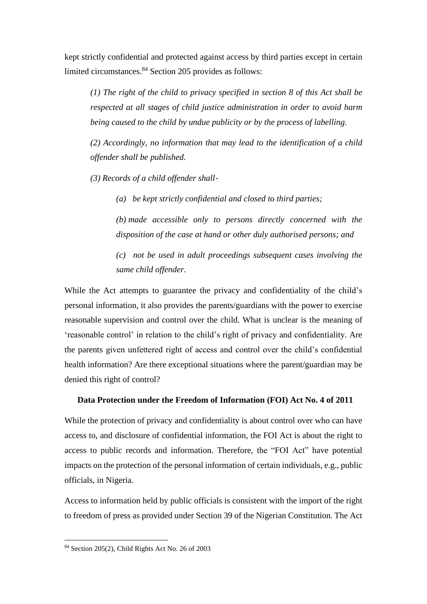kept strictly confidential and protected against access by third parties except in certain limited circumstances.<sup>84</sup> Section 205 provides as follows:

*(1) The right of the child to privacy specified in section 8 of this Act shall be respected at all stages of child justice administration in order to avoid harm being caused to the child by undue publicity or by the process of labelling.* 

*(2) Accordingly, no information that may lead to the identification of a child offender shall be published.* 

*(3) Records of a child offender shall*‐

*(a) be kept strictly confidential and closed to third parties;* 

*(b) made accessible only to persons directly concerned with the disposition of the case at hand or other duly authorised persons; and* 

*(c) not be used in adult proceedings subsequent cases involving the same child offender.* 

While the Act attempts to guarantee the privacy and confidentiality of the child's personal information, it also provides the parents/guardians with the power to exercise reasonable supervision and control over the child. What is unclear is the meaning of 'reasonable control' in relation to the child's right of privacy and confidentiality. Are the parents given unfettered right of access and control over the child's confidential health information? Are there exceptional situations where the parent/guardian may be denied this right of control?

#### **Data Protection under the Freedom of Information (FOI) Act No. 4 of 2011**

While the protection of privacy and confidentiality is about control over who can have access to, and disclosure of confidential information, the FOI Act is about the right to access to public records and information. Therefore, the "FOI Act" have potential impacts on the protection of the personal information of certain individuals, e.g., public officials, in Nigeria.

Access to information held by public officials is consistent with the import of the right to freedom of press as provided under Section 39 of the Nigerian Constitution. The Act

<sup>84</sup> Section 205(2), Child Rights Act No. 26 of 2003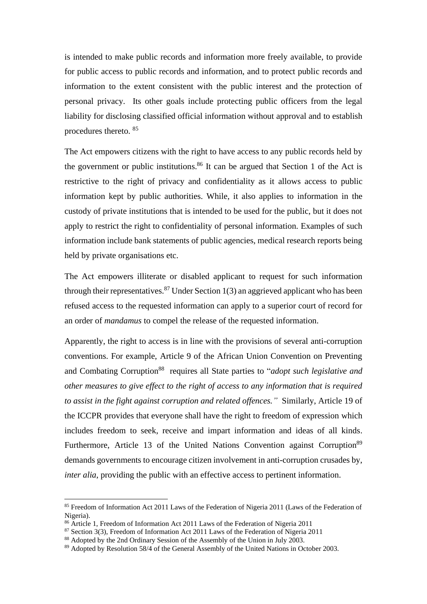is intended to make public records and information more freely available, to provide for public access to public records and information, and to protect public records and information to the extent consistent with the public interest and the protection of personal privacy. Its other goals include protecting public officers from the legal liability for disclosing classified official information without approval and to establish procedures thereto. <sup>85</sup>

The Act empowers citizens with the right to have access to any public records held by the government or public institutions. <sup>86</sup> It can be argued that Section 1 of the Act is restrictive to the right of privacy and confidentiality as it allows access to public information kept by public authorities. While, it also applies to information in the custody of private institutions that is intended to be used for the public, but it does not apply to restrict the right to confidentiality of personal information. Examples of such information include bank statements of public agencies, medical research reports being held by private organisations etc.

The Act empowers illiterate or disabled applicant to request for such information through their representatives.<sup>87</sup> Under Section  $1(3)$  an aggrieved applicant who has been refused access to the requested information can apply to a superior court of record for an order of *mandamus* to compel the release of the requested information.

Apparently, the right to access is in line with the provisions of several anti-corruption conventions. For example, Article 9 of the African Union Convention on Preventing and Combating Corruption<sup>88</sup> requires all State parties to "*adopt such legislative and other measures to give effect to the right of access to any information that is required to assist in the fight against corruption and related offences."* Similarly, Article 19 of the ICCPR provides that everyone shall have the right to freedom of expression which includes freedom to seek, receive and impart information and ideas of all kinds. Furthermore, Article 13 of the United Nations Convention against Corruption<sup>89</sup> demands governments to encourage citizen involvement in anti-corruption crusades by, *inter alia*, providing the public with an effective access to pertinent information.

<sup>&</sup>lt;sup>85</sup> Freedom of Information Act 2011 Laws of the Federation of Nigeria 2011 (Laws of the Federation of Nigeria).

<sup>86</sup> Article 1, Freedom of Information Act 2011 Laws of the Federation of Nigeria 2011

 $87$  Section 3(3), Freedom of Information Act 2011 Laws of the Federation of Nigeria 2011

<sup>&</sup>lt;sup>88</sup> Adopted by the 2nd Ordinary Session of the Assembly of the Union in July 2003.

<sup>89</sup> Adopted by Resolution 58/4 of the General Assembly of the United Nations in October 2003.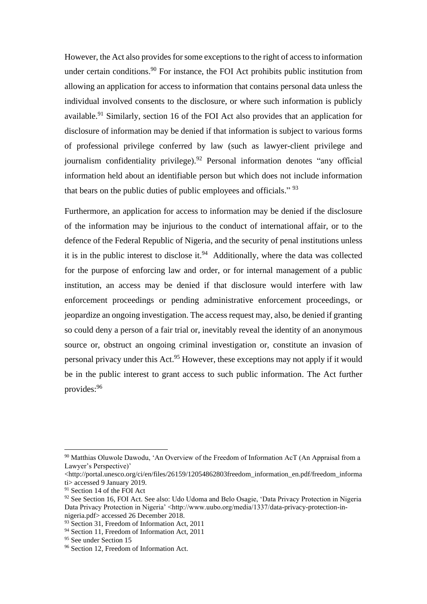However, the Act also provides for some exceptions to the right of access to information under certain conditions.<sup>90</sup> For instance, the FOI Act prohibits public institution from allowing an application for access to information that contains personal data unless the individual involved consents to the disclosure, or where such information is publicly available.<sup>91</sup> Similarly, section 16 of the FOI Act also provides that an application for disclosure of information may be denied if that information is subject to various forms of professional privilege conferred by law (such as lawyer-client privilege and journalism confidentiality privilege).<sup>92</sup> Personal information denotes "any official information held about an identifiable person but which does not include information that bears on the public duties of public employees and officials." <sup>93</sup>

Furthermore, an application for access to information may be denied if the disclosure of the information may be injurious to the conduct of international affair, or to the defence of the Federal Republic of Nigeria, and the security of penal institutions unless it is in the public interest to disclose it.<sup>94</sup> Additionally, where the data was collected for the purpose of enforcing law and order, or for internal management of a public institution, an access may be denied if that disclosure would interfere with law enforcement proceedings or pending administrative enforcement proceedings, or jeopardize an ongoing investigation. The access request may, also, be denied if granting so could deny a person of a fair trial or, inevitably reveal the identity of an anonymous source or, obstruct an ongoing criminal investigation or, constitute an invasion of personal privacy under this Act.<sup>95</sup> However, these exceptions may not apply if it would be in the public interest to grant access to such public information. The Act further provides:<sup>96</sup>

<sup>90</sup> Matthias Oluwole Dawodu, 'An Overview of the Freedom of Information AcT (An Appraisal from a Lawyer's Perspective)'

 $\langle$ http://portal.unesco.org/ci/en/files/26159/12054862803freedom\_information\_en.pdf/freedom\_informa ti> accessed 9 January 2019.

<sup>&</sup>lt;sup>91</sup> Section 14 of the FOI Act

<sup>92</sup> See Section 16, FOI Act. See also: Udo Udoma and Belo Osagie, 'Data Privacy Protection in Nigeria Data Privacy Protection in Nigeria' <http://www.uubo.org/media/1337/data-privacy-protection-innigeria.pdf> accessed 26 December 2018.

<sup>&</sup>lt;sup>93</sup> Section 31, Freedom of Information Act, 2011

<sup>94</sup> Section 11, Freedom of Information Act, 2011

<sup>&</sup>lt;sup>95</sup> See under Section 15

<sup>&</sup>lt;sup>96</sup> Section 12, Freedom of Information Act.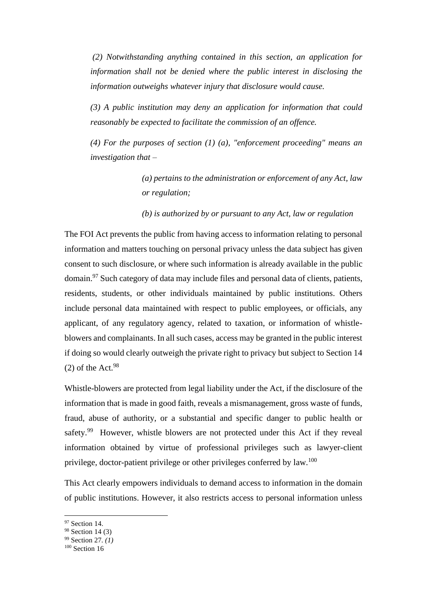*(2) Notwithstanding anything contained in this section, an application for information shall not be denied where the public interest in disclosing the information outweighs whatever injury that disclosure would cause.* 

*(3) A public institution may deny an application for information that could reasonably be expected to facilitate the commission of an offence.* 

*(4) For the purposes of section (1) (a), "enforcement proceeding" means an investigation that –*

> *(a) pertains to the administration or enforcement of any Act, law or regulation;*

*(b) is authorized by or pursuant to any Act, law or regulation*

The FOI Act prevents the public from having access to information relating to personal information and matters touching on personal privacy unless the data subject has given consent to such disclosure, or where such information is already available in the public domain.<sup>97</sup> Such category of data may include files and personal data of clients, patients, residents, students, or other individuals maintained by public institutions. Others include personal data maintained with respect to public employees, or officials, any applicant, of any regulatory agency, related to taxation, or information of whistleblowers and complainants. In all such cases, access may be granted in the public interest if doing so would clearly outweigh the private right to privacy but subject to Section 14  $(2)$  of the Act.<sup>98</sup>

Whistle-blowers are protected from legal liability under the Act, if the disclosure of the information that is made in good faith, reveals a mismanagement, gross waste of funds, fraud, abuse of authority, or a substantial and specific danger to public health or safety.<sup>99</sup> However, whistle blowers are not protected under this Act if they reveal information obtained by virtue of professional privileges such as lawyer-client privilege, doctor-patient privilege or other privileges conferred by law.<sup>100</sup>

This Act clearly empowers individuals to demand access to information in the domain of public institutions. However, it also restricts access to personal information unless

<sup>&</sup>lt;sup>97</sup> Section 14.

<sup>98</sup> Section 14 (3)

<sup>99</sup> Section 27*. (1)*

<sup>100</sup> Section 16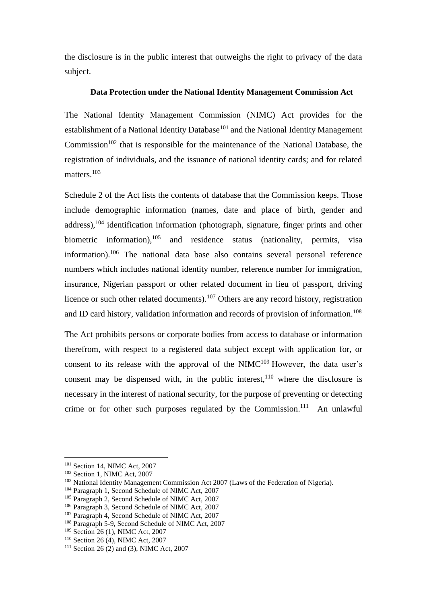the disclosure is in the public interest that outweighs the right to privacy of the data subject.

#### **Data Protection under the National Identity Management Commission Act**

The National Identity Management Commission (NIMC) Act provides for the establishment of a National Identity Database<sup>101</sup> and the National Identity Management Commission<sup>102</sup> that is responsible for the maintenance of the National Database, the registration of individuals, and the issuance of national identity cards; and for related matters.<sup>103</sup>

Schedule 2 of the Act lists the contents of database that the Commission keeps. Those include demographic information (names, date and place of birth, gender and address), $104$  identification information (photograph, signature, finger prints and other biometric information),<sup>105</sup> and residence status (nationality, permits, visa information).<sup>106</sup> The national data base also contains several personal reference numbers which includes national identity number, reference number for immigration, insurance, Nigerian passport or other related document in lieu of passport, driving licence or such other related documents).<sup>107</sup> Others are any record history, registration and ID card history, validation information and records of provision of information.<sup>108</sup>

The Act prohibits persons or corporate bodies from access to database or information therefrom, with respect to a registered data subject except with application for, or consent to its release with the approval of the  $NIMC<sup>109</sup>$  However, the data user's consent may be dispensed with, in the public interest,  $110$  where the disclosure is necessary in the interest of national security, for the purpose of preventing or detecting crime or for other such purposes regulated by the Commission.<sup>111</sup> An unlawful

<sup>&</sup>lt;sup>101</sup> Section 14, NIMC Act, 2007

<sup>102</sup> Section 1, NIMC Act, 2007

<sup>&</sup>lt;sup>103</sup> National Identity Management Commission Act 2007 (Laws of the Federation of Nigeria).

<sup>&</sup>lt;sup>104</sup> Paragraph 1, Second Schedule of NIMC Act, 2007

<sup>&</sup>lt;sup>105</sup> Paragraph 2, Second Schedule of NIMC Act, 2007

<sup>106</sup> Paragraph 3, Second Schedule of NIMC Act, 2007

<sup>&</sup>lt;sup>107</sup> Paragraph 4, Second Schedule of NIMC Act, 2007

<sup>108</sup> Paragraph 5-9, Second Schedule of NIMC Act, 2007

<sup>109</sup> Section 26 (1), NIMC Act, 2007

<sup>110</sup> Section 26 (4), NIMC Act, 2007

<sup>&</sup>lt;sup>111</sup> Section 26 (2) and (3), NIMC Act, 2007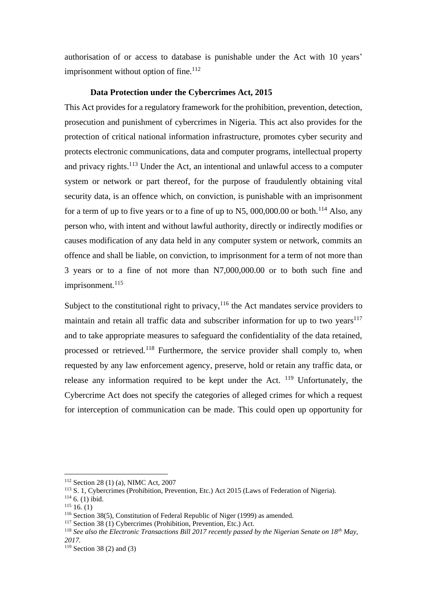authorisation of or access to database is punishable under the Act with 10 years' imprisonment without option of fine. $112$ 

#### **Data Protection under the Cybercrimes Act, 2015**

This Act provides for a regulatory framework for the prohibition, prevention, detection, prosecution and punishment of cybercrimes in Nigeria. This act also provides for the protection of critical national information infrastructure, promotes cyber security and protects electronic communications, data and computer programs, intellectual property and privacy rights.<sup>113</sup> Under the Act, an intentional and unlawful access to a computer system or network or part thereof, for the purpose of fraudulently obtaining vital security data, is an offence which, on conviction, is punishable with an imprisonment for a term of up to five years or to a fine of up to N5, 000,000.00 or both.<sup>114</sup> Also, any person who, with intent and without lawful authority, directly or indirectly modifies or causes modification of any data held in any computer system or network, commits an offence and shall be liable, on conviction, to imprisonment for a term of not more than 3 years or to a fine of not more than N7,000,000.00 or to both such fine and imprisonment.<sup>115</sup>

Subject to the constitutional right to privacy,  $116$  the Act mandates service providers to maintain and retain all traffic data and subscriber information for up to two years $117$ and to take appropriate measures to safeguard the confidentiality of the data retained, processed or retrieved*.* <sup>118</sup> Furthermore, the service provider shall comply to, when requested by any law enforcement agency, preserve, hold or retain any traffic data, or release any information required to be kept under the Act. <sup>119</sup> Unfortunately, the Cybercrime Act does not specify the categories of alleged crimes for which a request for interception of communication can be made. This could open up opportunity for

<sup>112</sup> Section 28 (1) (a), NIMC Act, 2007

<sup>113</sup> S. 1, Cybercrimes (Prohibition, Prevention, Etc.) Act 2015 (Laws of Federation of Nigeria).

 $114$  6. (1) ibid.

 $115$  16. (1)

<sup>116</sup> Section 38(5), Constitution of Federal Republic of Niger (1999) as amended.

<sup>117</sup> Section 38 (1) Cybercrimes (Prohibition, Prevention, Etc.) Act.

<sup>118</sup> *See also the Electronic Transactions Bill 2017 recently passed by the Nigerian Senate on 18th May, 2017.*

 $119$  Section 38 (2) and (3)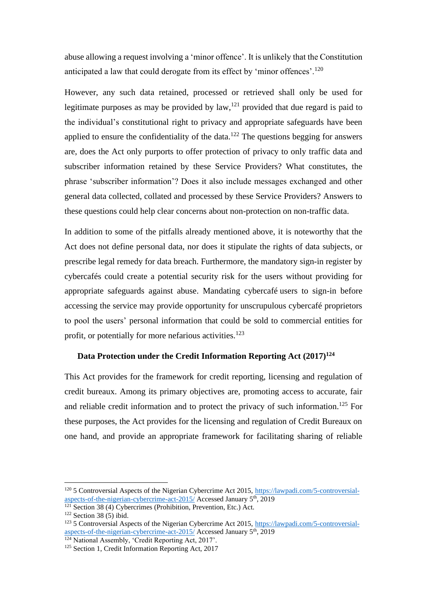abuse allowing a request involving a 'minor offence'. It is unlikely that the Constitution anticipated a law that could derogate from its effect by 'minor offences'.<sup>120</sup>

However, any such data retained, processed or retrieved shall only be used for legitimate purposes as may be provided by  $law$ ,  $l^{21}$  provided that due regard is paid to the individual's constitutional right to privacy and appropriate safeguards have been applied to ensure the confidentiality of the data.<sup>122</sup> The questions begging for answers are, does the Act only purports to offer protection of privacy to only traffic data and subscriber information retained by these Service Providers? What constitutes, the phrase 'subscriber information'? Does it also include messages exchanged and other general data collected, collated and processed by these Service Providers? Answers to these questions could help clear concerns about non-protection on non-traffic data.

In addition to some of the pitfalls already mentioned above, it is noteworthy that the Act does not define personal data, nor does it stipulate the rights of data subjects, or prescribe legal remedy for data breach. Furthermore, the mandatory sign-in register by cybercafés could create a potential security risk for the users without providing for appropriate safeguards against abuse. Mandating cybercafé users to sign-in before accessing the service may provide opportunity for unscrupulous cybercafé proprietors to pool the users' personal information that could be sold to commercial entities for profit, or potentially for more nefarious activities.<sup>123</sup>

#### **Data Protection under the Credit Information Reporting Act (2017)<sup>124</sup>**

This Act provides for the framework for credit reporting, licensing and regulation of credit bureaux. Among its primary objectives are, promoting access to accurate, fair and reliable credit information and to protect the privacy of such information. <sup>125</sup> For these purposes, the Act provides for the licensing and regulation of Credit Bureaux on one hand, and provide an appropriate framework for facilitating sharing of reliable

 $\frac{121}{121}$  Section 38 (4) Cybercrimes (Prohibition, Prevention, Etc.) Act.

<sup>120</sup> 5 Controversial Aspects of the Nigerian Cybercrime Act 2015, [https://lawpadi.com/5-controversial](https://lawpadi.com/5-controversial-aspects-of-the-nigerian-cybercrime-act-2015/)[aspects-of-the-nigerian-cybercrime-act-2015/](https://lawpadi.com/5-controversial-aspects-of-the-nigerian-cybercrime-act-2015/) Accessed January 5<sup>th</sup>, 2019

 $122$  Section 38 (5) ibid.

<sup>123</sup> 5 Controversial Aspects of the Nigerian Cybercrime Act 2015, [https://lawpadi.com/5-controversial](https://lawpadi.com/5-controversial-aspects-of-the-nigerian-cybercrime-act-2015/)[aspects-of-the-nigerian-cybercrime-act-2015/](https://lawpadi.com/5-controversial-aspects-of-the-nigerian-cybercrime-act-2015/) Accessed January 5th, 2019

<sup>&</sup>lt;sup>124</sup> National Assembly, 'Credit Reporting Act, 2017'.

<sup>&</sup>lt;sup>125</sup> Section 1, Credit Information Reporting Act, 2017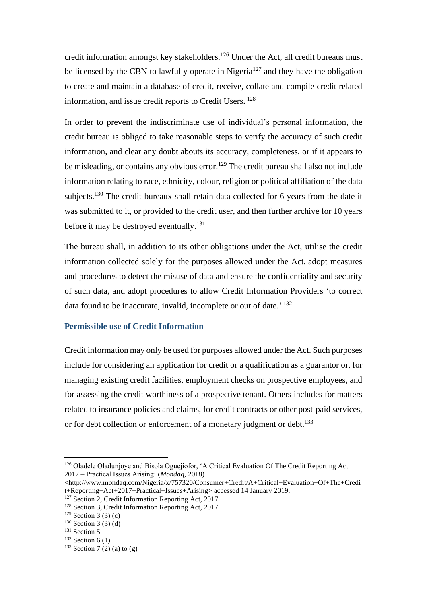credit information amongst key stakeholders.<sup>126</sup> Under the Act, all credit bureaus must be licensed by the CBN to lawfully operate in Nigeria<sup>127</sup> and they have the obligation to create and maintain a database of credit, receive, collate and compile credit related information, and issue credit reports to Credit Users**.** 128

In order to prevent the indiscriminate use of individual's personal information, the credit bureau is obliged to take reasonable steps to verify the accuracy of such credit information, and clear any doubt abouts its accuracy, completeness, or if it appears to be misleading, or contains any obvious error.<sup>129</sup> The credit bureau shall also not include information relating to race, ethnicity, colour, religion or political affiliation of the data subjects.<sup>130</sup> The credit bureaux shall retain data collected for 6 years from the date it was submitted to it, or provided to the credit user, and then further archive for 10 years before it may be destroyed eventually.<sup>131</sup>

The bureau shall, in addition to its other obligations under the Act, utilise the credit information collected solely for the purposes allowed under the Act, adopt measures and procedures to detect the misuse of data and ensure the confidentiality and security of such data, and adopt procedures to allow Credit Information Providers 'to correct data found to be inaccurate, invalid, incomplete or out of date.'<sup>132</sup>

#### **Permissible use of Credit Information**

Credit information may only be used for purposes allowed under the Act. Such purposes include for considering an application for credit or a qualification as a guarantor or, for managing existing credit facilities, employment checks on prospective employees, and for assessing the credit worthiness of a prospective tenant. Others includes for matters related to insurance policies and claims, for credit contracts or other post-paid services, or for debt collection or enforcement of a monetary judgment or debt.<sup>133</sup>

<sup>&</sup>lt;sup>126</sup> Oladele Oladunjoye and Bisola Oguejiofor, 'A Critical Evaluation Of The Credit Reporting Act 2017 – Practical Issues Arising' (*Mondaq*, 2018)

<sup>&</sup>lt;http://www.mondaq.com/Nigeria/x/757320/Consumer+Credit/A+Critical+Evaluation+Of+The+Credi t+Reporting+Act+2017+Practical+Issues+Arising> accessed 14 January 2019.

<sup>&</sup>lt;sup>127</sup> Section 2, Credit Information Reporting Act, 2017

<sup>128</sup> Section 3, Credit Information Reporting Act, 2017

 $129$  Section 3 (3) (c)

 $130$  Section 3 (3) (d)

<sup>&</sup>lt;sup>131</sup> Section 5

 $132$  Section 6 (1)

 $133$  Section 7 (2) (a) to (g)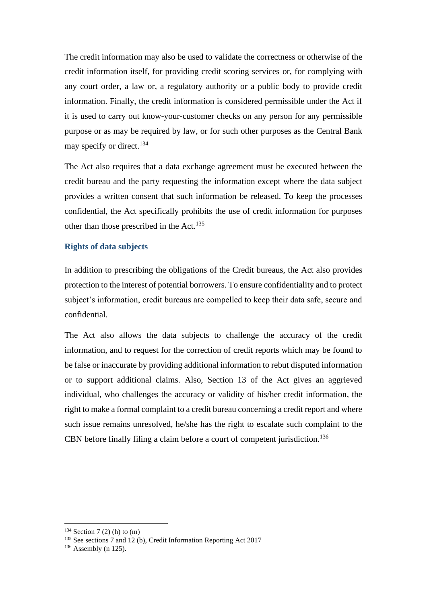The credit information may also be used to validate the correctness or otherwise of the credit information itself, for providing credit scoring services or, for complying with any court order, a law or, a regulatory authority or a public body to provide credit information. Finally, the credit information is considered permissible under the Act if it is used to carry out know-your-customer checks on any person for any permissible purpose or as may be required by law, or for such other purposes as the Central Bank may specify or direct.<sup>134</sup>

The Act also requires that a data exchange agreement must be executed between the credit bureau and the party requesting the information except where the data subject provides a written consent that such information be released. To keep the processes confidential, the Act specifically prohibits the use of credit information for purposes other than those prescribed in the Act.<sup>135</sup>

#### **Rights of data subjects**

In addition to prescribing the obligations of the Credit bureaus, the Act also provides protection to the interest of potential borrowers. To ensure confidentiality and to protect subject's information, credit bureaus are compelled to keep their data safe, secure and confidential.

The Act also allows the data subjects to challenge the accuracy of the credit information, and to request for the correction of credit reports which may be found to be false or inaccurate by providing additional information to rebut disputed information or to support additional claims. Also, Section 13 of the Act gives an aggrieved individual, who challenges the accuracy or validity of his/her credit information, the right to make a formal complaint to a credit bureau concerning a credit report and where such issue remains unresolved, he/she has the right to escalate such complaint to the CBN before finally filing a claim before a court of competent jurisdiction.<sup>136</sup>

 $134$  Section 7 (2) (h) to (m)

<sup>&</sup>lt;sup>135</sup> See sections 7 and 12 (b), Credit Information Reporting Act 2017

 $136$  Assembly (n 125).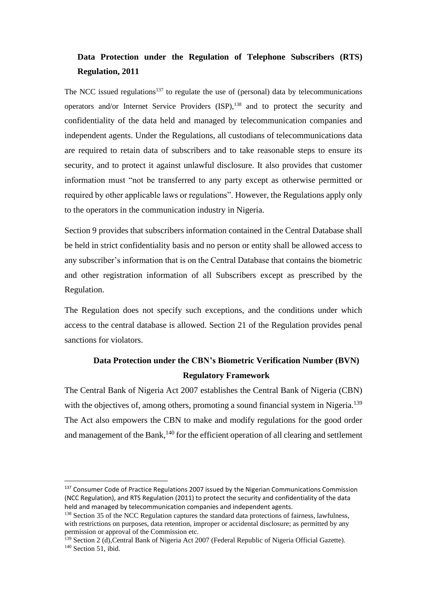## **Data Protection under the Regulation of Telephone Subscribers (RTS) Regulation, 2011**

The NCC issued regulations<sup>137</sup> to regulate the use of (personal) data by telecommunications operators and/or Internet Service Providers (ISP),<sup>138</sup> and to protect the security and confidentiality of the data held and managed by telecommunication companies and independent agents. Under the Regulations, all custodians of telecommunications data are required to retain data of subscribers and to take reasonable steps to ensure its security, and to protect it against unlawful disclosure. It also provides that customer information must "not be transferred to any party except as otherwise permitted or required by other applicable laws or regulations". However, the Regulations apply only to the operators in the communication industry in Nigeria.

Section 9 provides that subscribers information contained in the Central Database shall be held in strict confidentiality basis and no person or entity shall be allowed access to any subscriber's information that is on the Central Database that contains the biometric and other registration information of all Subscribers except as prescribed by the Regulation.

The Regulation does not specify such exceptions, and the conditions under which access to the central database is allowed. Section 21 of the Regulation provides penal sanctions for violators.

## **Data Protection under the CBN's Biometric Verification Number (BVN) Regulatory Framework**

The Central Bank of Nigeria Act 2007 establishes the Central Bank of Nigeria (CBN) with the objectives of, among others, promoting a sound financial system in Nigeria.<sup>139</sup> The Act also empowers the CBN to make and modify regulations for the good order and management of the Bank,<sup>140</sup> for the efficient operation of all clearing and settlement

<sup>&</sup>lt;sup>137</sup> Consumer Code of Practice Regulations 2007 issued by the Nigerian Communications Commission (NCC Regulation), and RTS Regulation (2011) to protect the security and confidentiality of the data held and managed by telecommunication companies and independent agents.

<sup>&</sup>lt;sup>138</sup> Section 35 of the NCC Regulation captures the standard data protections of fairness, lawfulness, with restrictions on purposes, data retention, improper or accidental disclosure; as permitted by any permission or approval of the Commission etc.

<sup>&</sup>lt;sup>139</sup> Section 2 (d), Central Bank of Nigeria Act 2007 (Federal Republic of Nigeria Official Gazette). <sup>140</sup> Section 51, ibid.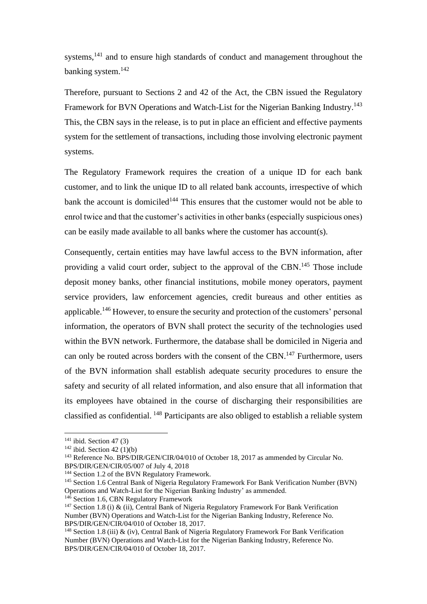systems,<sup>141</sup> and to ensure high standards of conduct and management throughout the banking system. 142

Therefore, pursuant to Sections 2 and 42 of the Act, the CBN issued the Regulatory Framework for BVN Operations and Watch-List for the Nigerian Banking Industry.<sup>143</sup> This, the CBN says in the release, is to put in place an efficient and effective payments system for the settlement of transactions, including those involving electronic payment systems.

The Regulatory Framework requires the creation of a unique ID for each bank customer, and to link the unique ID to all related bank accounts, irrespective of which bank the account is domiciled<sup>144</sup> This ensures that the customer would not be able to enrol twice and that the customer's activities in other banks (especially suspicious ones) can be easily made available to all banks where the customer has account(s).

Consequently, certain entities may have lawful access to the BVN information, after providing a valid court order, subject to the approval of the CBN.<sup>145</sup> Those include deposit money banks, other financial institutions, mobile money operators, payment service providers, law enforcement agencies, credit bureaus and other entities as applicable.<sup>146</sup> However, to ensure the security and protection of the customers' personal information, the operators of BVN shall protect the security of the technologies used within the BVN network. Furthermore, the database shall be domiciled in Nigeria and can only be routed across borders with the consent of the CBN.<sup>147</sup> Furthermore, users of the BVN information shall establish adequate security procedures to ensure the safety and security of all related information, and also ensure that all information that its employees have obtained in the course of discharging their responsibilities are classified as confidential. <sup>148</sup> Participants are also obliged to establish a reliable system

 $141$  ibid. Section 47 (3)

 $142$  ibid. Section 42 (1)(b)

<sup>143</sup> Reference No. BPS/DIR/GEN/CIR/04/010 of October 18, 2017 as ammended by Circular No. BPS/DIR/GEN/CIR/05/007 of July 4, 2018

<sup>&</sup>lt;sup>144</sup> Section 1.2 of the BVN Regulatory Framework.

<sup>&</sup>lt;sup>145</sup> Section 1.6 Central Bank of Nigeria Regulatory Framework For Bank Verification Number (BVN) Operations and Watch-List for the Nigerian Banking Industry' as ammended.

<sup>&</sup>lt;sup>146</sup> Section 1.6, CBN Regulatory Framework

<sup>&</sup>lt;sup>147</sup> Section 1.8 (i) & (ii), Central Bank of Nigeria Regulatory Framework For Bank Verification Number (BVN) Operations and Watch-List for the Nigerian Banking Industry, Reference No. BPS/DIR/GEN/CIR/04/010 of October 18, 2017.

<sup>&</sup>lt;sup>148</sup> Section 1.8 (iii)  $\&$  (iv), Central Bank of Nigeria Regulatory Framework For Bank Verification Number (BVN) Operations and Watch-List for the Nigerian Banking Industry, Reference No. BPS/DIR/GEN/CIR/04/010 of October 18, 2017.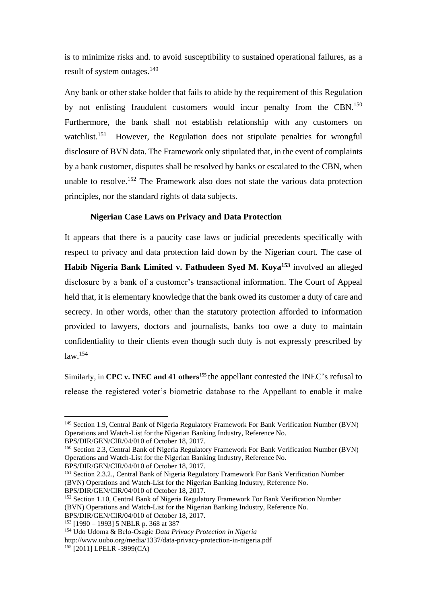is to minimize risks and. to avoid susceptibility to sustained operational failures, as a result of system outages.<sup>149</sup>

Any bank or other stake holder that fails to abide by the requirement of this Regulation by not enlisting fraudulent customers would incur penalty from the CBN.<sup>150</sup> Furthermore, the bank shall not establish relationship with any customers on watchlist.<sup>151</sup> However, the Regulation does not stipulate penalties for wrongful disclosure of BVN data. The Framework only stipulated that, in the event of complaints by a bank customer, disputes shall be resolved by banks or escalated to the CBN, when unable to resolve.<sup>152</sup> The Framework also does not state the various data protection principles, nor the standard rights of data subjects.

#### **Nigerian Case Laws on Privacy and Data Protection**

It appears that there is a paucity case laws or judicial precedents specifically with respect to privacy and data protection laid down by the Nigerian court. The case of **Habib Nigeria Bank Limited v. Fathudeen Syed M. Koya<sup>153</sup>** involved an alleged disclosure by a bank of a customer's transactional information. The Court of Appeal held that, it is elementary knowledge that the bank owed its customer a duty of care and secrecy. In other words, other than the statutory protection afforded to information provided to lawyers, doctors and journalists, banks too owe a duty to maintain confidentiality to their clients even though such duty is not expressly prescribed by law.<sup>154</sup>

Similarly, in **CPC v. INEC and 41 others**<sup>155</sup> the appellant contested the INEC's refusal to release the registered voter's biometric database to the Appellant to enable it make

BPS/DIR/GEN/CIR/04/010 of October 18, 2017.

BPS/DIR/GEN/CIR/04/010 of October 18, 2017.

<sup>149</sup> Section 1.9, Central Bank of Nigeria Regulatory Framework For Bank Verification Number (BVN) Operations and Watch-List for the Nigerian Banking Industry, Reference No.

<sup>150</sup> Section 2.3, Central Bank of Nigeria Regulatory Framework For Bank Verification Number (BVN) Operations and Watch-List for the Nigerian Banking Industry, Reference No.

<sup>151</sup> Section 2.3.2., Central Bank of Nigeria Regulatory Framework For Bank Verification Number (BVN) Operations and Watch-List for the Nigerian Banking Industry, Reference No. BPS/DIR/GEN/CIR/04/010 of October 18, 2017.

<sup>152</sup> Section 1.10, Central Bank of Nigeria Regulatory Framework For Bank Verification Number (BVN) Operations and Watch-List for the Nigerian Banking Industry, Reference No. BPS/DIR/GEN/CIR/04/010 of October 18, 2017.

<sup>153</sup> [1990 – 1993] 5 NBLR p. 368 at 387

<sup>154</sup> Udo Udoma & Belo-Osagie *Data Privacy Protection in Nigeria* http://www.uubo.org/media/1337/data-privacy-protection-in-nigeria.pdf <sup>155</sup> [2011] LPELR -3999(CA)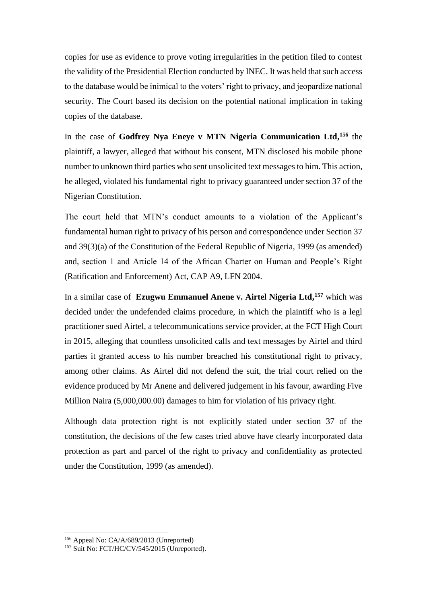copies for use as evidence to prove voting irregularities in the petition filed to contest the validity of the Presidential Election conducted by INEC. It was held that such access to the database would be inimical to the voters' right to privacy, and jeopardize national security. The Court based its decision on the potential national implication in taking copies of the database.

In the case of **Godfrey Nya Eneye v MTN Nigeria Communication Ltd, <sup>156</sup>** the plaintiff, a lawyer, alleged that without his consent, MTN disclosed his mobile phone number to unknown third parties who sent unsolicited text messages to him. This action, he alleged, violated his fundamental right to privacy guaranteed under section 37 of the Nigerian Constitution.

The court held that MTN's conduct amounts to a violation of the Applicant's fundamental human right to privacy of his person and correspondence under Section 37 and 39(3)(a) of the Constitution of the Federal Republic of Nigeria, 1999 (as amended) and, section 1 and Article 14 of the African Charter on Human and People's Right (Ratification and Enforcement) Act, CAP A9, LFN 2004.

In a similar case of **Ezugwu Emmanuel Anene v. Airtel Nigeria Ltd, <sup>157</sup>** which was decided under the undefended claims procedure, in which the plaintiff who is a legl practitioner sued Airtel, a telecommunications service provider, at the FCT High Court in 2015, alleging that countless unsolicited calls and text messages by Airtel and third parties it granted access to his number breached his constitutional right to privacy, among other claims. As Airtel did not defend the suit, the trial court relied on the evidence produced by Mr Anene and delivered judgement in his favour, awarding Five Million Naira (5,000,000.00) damages to him for violation of his privacy right.

Although data protection right is not explicitly stated under section 37 of the constitution, the decisions of the few cases tried above have clearly incorporated data protection as part and parcel of the right to privacy and confidentiality as protected under the Constitution, 1999 (as amended).

<sup>&</sup>lt;sup>156</sup> Appeal No: CA/A/689/2013 (Unreported)

<sup>&</sup>lt;sup>157</sup> Suit No: FCT/HC/CV/545/2015 (Unreported).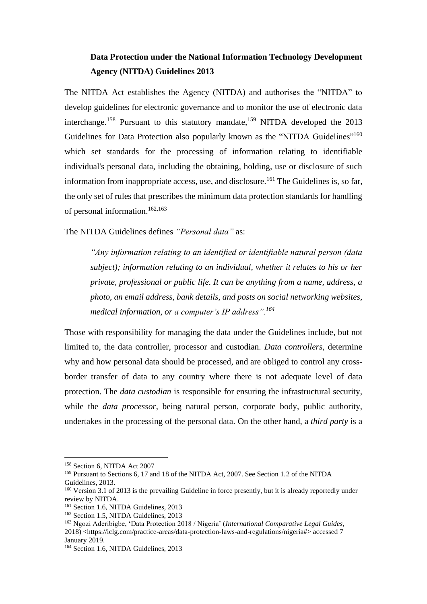## **Data Protection under the National Information Technology Development Agency (NITDA) Guidelines 2013**

The NITDA Act establishes the Agency (NITDA) and authorises the "NITDA" to develop guidelines for electronic governance and to monitor the use of electronic data interchange.<sup>158</sup> Pursuant to this statutory mandate,<sup>159</sup> NITDA developed the  $2013$ Guidelines for Data Protection also popularly known as the "NITDA Guidelines"<sup>160</sup> which set standards for the processing of information relating to identifiable individual's personal data, including the obtaining, holding, use or disclosure of such information from inappropriate access, use, and disclosure.<sup>161</sup> The Guidelines is, so far, the only set of rules that prescribes the minimum data protection standards for handling of personal information. 162,163

The NITDA Guidelines defines *"Personal data"* as:

*"Any information relating to an identified or identifiable natural person (data subject); information relating to an individual, whether it relates to his or her private, professional or public life. It can be anything from a name, address, a photo, an email address, bank details, and posts on social networking websites, medical information, or a computer's IP address".<sup>164</sup>*

Those with responsibility for managing the data under the Guidelines include, but not limited to, the data controller, processor and custodian. *Data controllers,* determine why and how personal data should be processed, and are obliged to control any crossborder transfer of data to any country where there is not adequate level of data protection. The *data custodian* is responsible for ensuring the infrastructural security, while the *data processor*, being natural person, corporate body, public authority, undertakes in the processing of the personal data. On the other hand, a *third party* is a

<sup>158</sup> Section 6, NITDA Act 2007

<sup>&</sup>lt;sup>159</sup> Pursuant to Sections 6, 17 and 18 of the NITDA Act, 2007. See Section 1.2 of the NITDA Guidelines, 2013.

<sup>&</sup>lt;sup>160</sup> Version 3.1 of 2013 is the prevailing Guideline in force presently, but it is already reportedly under review by NITDA.

<sup>&</sup>lt;sup>161</sup> Section 1.6, NITDA Guidelines, 2013

<sup>&</sup>lt;sup>162</sup> Section 1.5, NITDA Guidelines, 2013

<sup>163</sup> Ngozi Aderibigbe, 'Data Protection 2018 / Nigeria' (*International Comparative Legal Guides*, 2018) <https://iclg.com/practice-areas/data-protection-laws-and-regulations/nigeria#> accessed 7 January 2019.

<sup>&</sup>lt;sup>164</sup> Section 1.6, NITDA Guidelines, 2013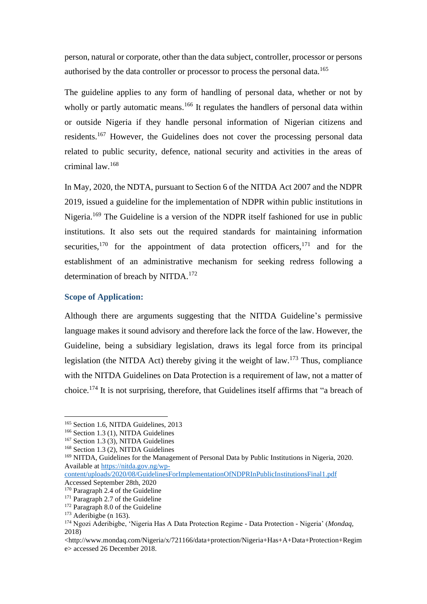person, natural or corporate, other than the data subject, controller, processor or persons authorised by the data controller or processor to process the personal data.<sup>165</sup>

The guideline applies to any form of handling of personal data, whether or not by wholly or partly automatic means.<sup>166</sup> It regulates the handlers of personal data within or outside Nigeria if they handle personal information of Nigerian citizens and residents.<sup>167</sup> However, the Guidelines does not cover the processing personal data related to public security, defence, national security and activities in the areas of criminal law.<sup>168</sup>

In May, 2020, the NDTA, pursuant to Section 6 of the NITDA Act 2007 and the NDPR 2019, issued a guideline for the implementation of NDPR within public institutions in Nigeria.<sup>169</sup> The Guideline is a version of the NDPR itself fashioned for use in public institutions. It also sets out the required standards for maintaining information securities,<sup>170</sup> for the appointment of data protection officers,<sup>171</sup> and for the establishment of an administrative mechanism for seeking redress following a determination of breach by NITDA.<sup>172</sup>

#### **Scope of Application:**

Although there are arguments suggesting that the NITDA Guideline's permissive language makes it sound advisory and therefore lack the force of the law. However, the Guideline, being a subsidiary legislation, draws its legal force from its principal legislation (the NITDA Act) thereby giving it the weight of law.<sup>173</sup> Thus, compliance with the NITDA Guidelines on Data Protection is a requirement of law, not a matter of choice.<sup>174</sup> It is not surprising, therefore, that Guidelines itself affirms that "a breach of

<sup>&</sup>lt;sup>165</sup> Section 1.6, NITDA Guidelines, 2013

<sup>&</sup>lt;sup>166</sup> Section 1.3 (1), NITDA Guidelines

<sup>167</sup> Section 1.3 (3), NITDA Guidelines

<sup>168</sup> Section 1.3 (2), NITDA Guidelines

<sup>169</sup> NITDA, Guidelines for the Management of Personal Data by Public Institutions in Nigeria, 2020. Available at [https://nitda.gov.ng/wp-](https://nitda.gov.ng/wp-content/uploads/2020/08/GuidelinesForImplementationOfNDPRInPublicInstitutionsFinal1.pdf)

[content/uploads/2020/08/GuidelinesForImplementationOfNDPRInPublicInstitutionsFinal1.pdf](https://nitda.gov.ng/wp-content/uploads/2020/08/GuidelinesForImplementationOfNDPRInPublicInstitutionsFinal1.pdf) Accessed September 28th, 2020

<sup>&</sup>lt;sup>170</sup> Paragraph 2.4 of the Guideline

<sup>&</sup>lt;sup>171</sup> Paragraph 2.7 of the Guideline

<sup>&</sup>lt;sup>172</sup> Paragraph 8.0 of the Guideline

 $173$  Aderibigbe (n 163).

<sup>174</sup> Ngozi Aderibigbe, 'Nigeria Has A Data Protection Regime - Data Protection - Nigeria' (*Mondaq*, 2018)

<sup>&</sup>lt;http://www.mondaq.com/Nigeria/x/721166/data+protection/Nigeria+Has+A+Data+Protection+Regim e> accessed 26 December 2018.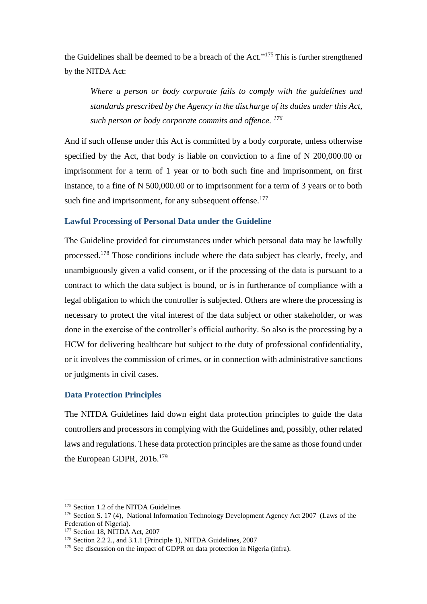the Guidelines shall be deemed to be a breach of the Act."<sup>175</sup> This is further strengthened by the NITDA Act:

*Where a person or body corporate fails to comply with the guidelines and standards prescribed by the Agency in the discharge of its duties under this Act, such person or body corporate commits and offence. <sup>176</sup>*

And if such offense under this Act is committed by a body corporate, unless otherwise specified by the Act, that body is liable on conviction to a fine of N 200,000.00 or imprisonment for a term of 1 year or to both such fine and imprisonment, on first instance, to a fine of N 500,000.00 or to imprisonment for a term of 3 years or to both such fine and imprisonment, for any subsequent offense.<sup>177</sup>

#### **Lawful Processing of Personal Data under the Guideline**

The Guideline provided for circumstances under which personal data may be lawfully processed.<sup>178</sup> Those conditions include where the data subject has clearly, freely, and unambiguously given a valid consent, or if the processing of the data is pursuant to a contract to which the data subject is bound, or is in furtherance of compliance with a legal obligation to which the controller is subjected. Others are where the processing is necessary to protect the vital interest of the data subject or other stakeholder, or was done in the exercise of the controller's official authority. So also is the processing by a HCW for delivering healthcare but subject to the duty of professional confidentiality, or it involves the commission of crimes, or in connection with administrative sanctions or judgments in civil cases.

#### **Data Protection Principles**

The NITDA Guidelines laid down eight data protection principles to guide the data controllers and processors in complying with the Guidelines and, possibly, other related laws and regulations. These data protection principles are the same as those found under the European GDPR, 2016.<sup>179</sup>

<sup>&</sup>lt;sup>175</sup> Section 1.2 of the NITDA Guidelines

<sup>&</sup>lt;sup>176</sup> Section S. 17 (4), National Information Technology Development Agency Act 2007 (Laws of the Federation of Nigeria).

<sup>&</sup>lt;sup>177</sup> Section 18, NITDA Act, 2007

<sup>178</sup> Section 2.2 2., and 3.1.1 (Principle 1), NITDA Guidelines, 2007

 $179$  See discussion on the impact of GDPR on data protection in Nigeria (infra).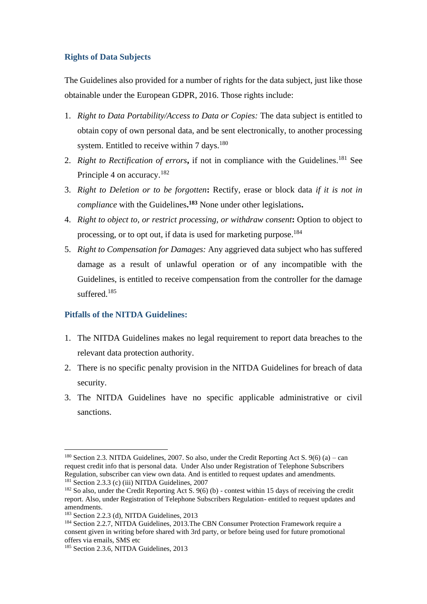#### **Rights of Data Subjects**

The Guidelines also provided for a number of rights for the data subject, just like those obtainable under the European GDPR, 2016. Those rights include:

- 1. *Right to Data Portability/Access to Data or Copies:* The data subject is entitled to obtain copy of own personal data, and be sent electronically, to another processing system. Entitled to receive within 7 days.<sup>180</sup>
- 2. *Right to Rectification of errors*, if not in compliance with the Guidelines.<sup>181</sup> See Principle 4 on accuracy.<sup>182</sup>
- 3. *Right to Deletion or to be forgotten***:** Rectify, erase or block data *if it is not in compliance* with the Guidelines**. <sup>183</sup>** None under other legislations**.**
- 4. *Right to object to, or restrict processing, or withdraw consent***:** Option to object to processing, or to opt out, if data is used for marketing purpose.<sup>184</sup>
- 5. *Right to Compensation for Damages:* Any aggrieved data subject who has suffered damage as a result of unlawful operation or of any incompatible with the Guidelines, is entitled to receive compensation from the controller for the damage suffered.<sup>185</sup>

#### **Pitfalls of the NITDA Guidelines:**

- 1. The NITDA Guidelines makes no legal requirement to report data breaches to the relevant data protection authority.
- 2. There is no specific penalty provision in the NITDA Guidelines for breach of data security.
- 3. The NITDA Guidelines have no specific applicable administrative or civil sanctions.

<sup>&</sup>lt;sup>180</sup> Section 2.3. NITDA Guidelines, 2007. So also, under the Credit Reporting Act S.  $9(6)$  (a) – can request credit info that is personal data. Under Also under Registration of Telephone Subscribers Regulation, subscriber can view own data. And is entitled to request updates and amendments. <sup>181</sup> Section 2.3.3 (c) (iii) NITDA Guidelines, 2007

 $182$  So also, under the Credit Reporting Act S,  $9(6)$  (b) - contest within 15 days of receiving the credit report. Also, under Registration of Telephone Subscribers Regulation- entitled to request updates and amendments.

<sup>183</sup> Section 2.2.3 (d), NITDA Guidelines, 2013

<sup>&</sup>lt;sup>184</sup> Section 2.2.7, NITDA Guidelines, 2013. The CBN Consumer Protection Framework require a consent given in writing before shared with 3rd party, or before being used for future promotional offers via emails, SMS etc

<sup>&</sup>lt;sup>185</sup> Section 2.3.6, NITDA Guidelines, 2013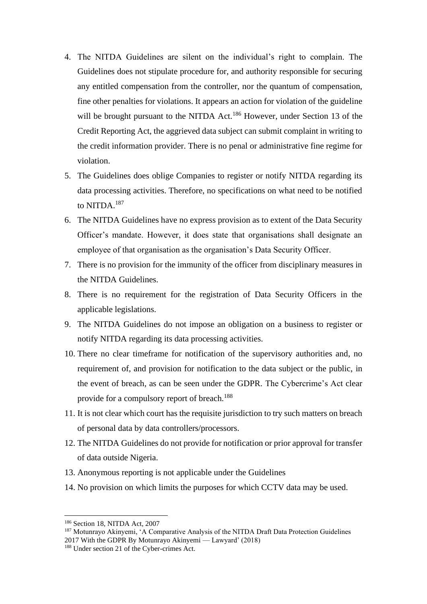- 4. The NITDA Guidelines are silent on the individual's right to complain. The Guidelines does not stipulate procedure for, and authority responsible for securing any entitled compensation from the controller, nor the quantum of compensation, fine other penalties for violations. It appears an action for violation of the guideline will be brought pursuant to the NITDA Act.<sup>186</sup> However, under Section 13 of the Credit Reporting Act, the aggrieved data subject can submit complaint in writing to the credit information provider. There is no penal or administrative fine regime for violation.
- 5. The Guidelines does oblige Companies to register or notify NITDA regarding its data processing activities. Therefore, no specifications on what need to be notified to NITDA.<sup>187</sup>
- 6. The NITDA Guidelines have no express provision as to extent of the Data Security Officer's mandate. However, it does state that organisations shall designate an employee of that organisation as the organisation's Data Security Officer.
- 7. There is no provision for the immunity of the officer from disciplinary measures in the NITDA Guidelines.
- 8. There is no requirement for the registration of Data Security Officers in the applicable legislations.
- 9. The NITDA Guidelines do not impose an obligation on a business to register or notify NITDA regarding its data processing activities.
- 10. There no clear timeframe for notification of the supervisory authorities and, no requirement of, and provision for notification to the data subject or the public, in the event of breach, as can be seen under the GDPR. The Cybercrime's Act clear provide for a compulsory report of breach.<sup>188</sup>
- 11. It is not clear which court has the requisite jurisdiction to try such matters on breach of personal data by data controllers/processors.
- 12. The NITDA Guidelines do not provide for notification or prior approval for transfer of data outside Nigeria.
- 13. Anonymous reporting is not applicable under the Guidelines
- 14. No provision on which limits the purposes for which CCTV data may be used.

<sup>187</sup> Motunrayo Akinyemi, 'A Comparative Analysis of the NITDA Draft Data Protection Guidelines 2017 With the GDPR By Motunrayo Akinyemi — Lawyard' (2018)

<sup>186</sup> Section 18, NITDA Act, 2007

<sup>&</sup>lt;sup>188</sup> Under section 21 of the Cyber-crimes Act.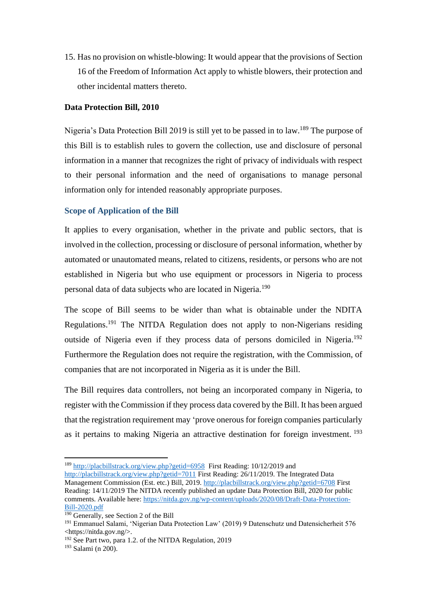15. Has no provision on whistle-blowing: It would appear that the provisions of Section 16 of the Freedom of Information Act apply to whistle blowers, their protection and other incidental matters thereto.

#### **Data Protection Bill, 2010**

Nigeria's Data Protection Bill 2019 is still yet to be passed in to law.<sup>189</sup> The purpose of this Bill is to establish rules to govern the collection, use and disclosure of personal information in a manner that recognizes the right of privacy of individuals with respect to their personal information and the need of organisations to manage personal information only for intended reasonably appropriate purposes.

#### **Scope of Application of the Bill**

It applies to every organisation, whether in the private and public sectors, that is involved in the collection, processing or disclosure of personal information, whether by automated or unautomated means, related to citizens, residents, or persons who are not established in Nigeria but who use equipment or processors in Nigeria to process personal data of data subjects who are located in Nigeria.<sup>190</sup>

The scope of Bill seems to be wider than what is obtainable under the NDITA Regulations.<sup>191</sup> The NITDA Regulation does not apply to non-Nigerians residing outside of Nigeria even if they process data of persons domiciled in Nigeria.<sup>192</sup> Furthermore the Regulation does not require the registration, with the Commission, of companies that are not incorporated in Nigeria as it is under the Bill.

The Bill requires data controllers, not being an incorporated company in Nigeria, to register with the Commission if they process data covered by the Bill. It has been argued that the registration requirement may 'prove onerous for foreign companies particularly as it pertains to making Nigeria an attractive destination for foreign investment.<sup>193</sup>

<sup>189</sup> <http://placbillstrack.org/view.php?getid=6958>First Reading: 10/12/2019 and

<http://placbillstrack.org/view.php?getid=7011> First Reading: 26/11/2019. The Integrated Data Management Commission (Est. etc.) Bill, 2019.<http://placbillstrack.org/view.php?getid=6708> First Reading: 14/11/2019 The NITDA recently published an update Data Protection Bill, 2020 for public comments. Available here: [https://nitda.gov.ng/wp-content/uploads/2020/08/Draft-Data-Protection-](https://nitda.gov.ng/wp-content/uploads/2020/08/Draft-Data-Protection-Bill-2020.pdf)[Bill-2020.pdf](https://nitda.gov.ng/wp-content/uploads/2020/08/Draft-Data-Protection-Bill-2020.pdf)

 $\frac{190}{190}$  Generally, see Section 2 of the Bill

<sup>191</sup> Emmanuel Salami, 'Nigerian Data Protection Law' (2019) 9 Datenschutz und Datensicherheit 576 <https://nitda.gov.ng/>.

<sup>&</sup>lt;sup>192</sup> See Part two, para 1.2. of the NITDA Regulation, 2019

 $193$  Salami (n 200).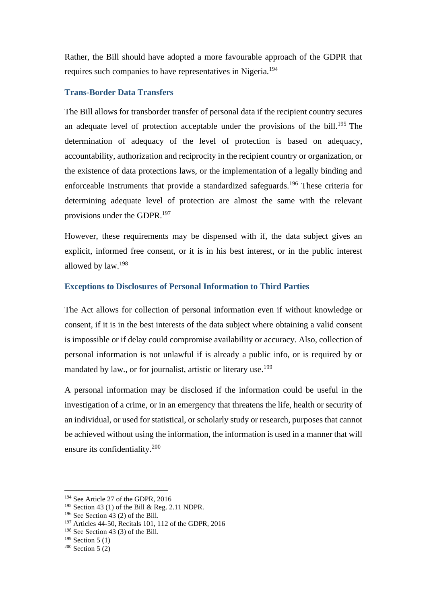Rather, the Bill should have adopted a more favourable approach of the GDPR that requires such companies to have representatives in Nigeria.<sup>194</sup>

#### **Trans-Border Data Transfers**

The Bill allows for transborder transfer of personal data if the recipient country secures an adequate level of protection acceptable under the provisions of the bill.<sup>195</sup> The determination of adequacy of the level of protection is based on adequacy, accountability, authorization and reciprocity in the recipient country or organization, or the existence of data protections laws, or the implementation of a legally binding and enforceable instruments that provide a standardized safeguards.<sup>196</sup> These criteria for determining adequate level of protection are almost the same with the relevant provisions under the GDPR.<sup>197</sup>

However, these requirements may be dispensed with if, the data subject gives an explicit, informed free consent, or it is in his best interest, or in the public interest allowed by law.<sup>198</sup>

#### **Exceptions to Disclosures of Personal Information to Third Parties**

The Act allows for collection of personal information even if without knowledge or consent, if it is in the best interests of the data subject where obtaining a valid consent is impossible or if delay could compromise availability or accuracy. Also, collection of personal information is not unlawful if is already a public info, or is required by or mandated by law., or for journalist, artistic or literary use.<sup>199</sup>

A personal information may be disclosed if the information could be useful in the investigation of a crime, or in an emergency that threatens the life, health or security of an individual, or used for statistical, or scholarly study or research, purposes that cannot be achieved without using the information, the information is used in a manner that will ensure its confidentiality.<sup>200</sup>

<sup>&</sup>lt;sup>194</sup> See Article 27 of the GDPR, 2016

<sup>195</sup> Section 43 (1) of the Bill & Reg. 2.11 NDPR.

 $196$  See Section 43 (2) of the Bill.

<sup>197</sup> Articles 44-50, Recitals 101, 112 of the GDPR, 2016

<sup>198</sup> See Section 43 (3) of the Bill.

 $199$  Section 5 (1)

 $200$  Section 5 (2)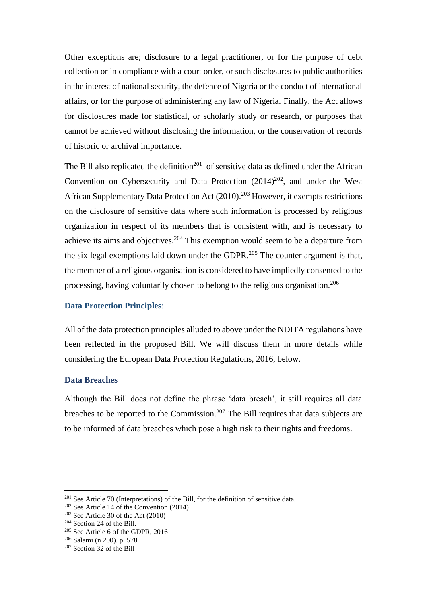Other exceptions are; disclosure to a legal practitioner, or for the purpose of debt collection or in compliance with a court order, or such disclosures to public authorities in the interest of national security, the defence of Nigeria or the conduct of international affairs, or for the purpose of administering any law of Nigeria. Finally, the Act allows for disclosures made for statistical, or scholarly study or research, or purposes that cannot be achieved without disclosing the information, or the conservation of records of historic or archival importance.

The Bill also replicated the definition<sup>201</sup> of sensitive data as defined under the African Convention on Cybersecurity and Data Protection  $(2014)^{202}$ , and under the West African Supplementary Data Protection Act (2010). <sup>203</sup> However, it exempts restrictions on the disclosure of sensitive data where such information is processed by religious organization in respect of its members that is consistent with, and is necessary to achieve its aims and objectives.<sup>204</sup> This exemption would seem to be a departure from the six legal exemptions laid down under the GDPR.<sup>205</sup> The counter argument is that, the member of a religious organisation is considered to have impliedly consented to the processing, having voluntarily chosen to belong to the religious organisation.<sup>206</sup>

#### **Data Protection Principles**:

All of the data protection principles alluded to above under the NDITA regulations have been reflected in the proposed Bill. We will discuss them in more details while considering the European Data Protection Regulations, 2016, below.

#### **Data Breaches**

Although the Bill does not define the phrase 'data breach', it still requires all data breaches to be reported to the Commission.<sup>207</sup> The Bill requires that data subjects are to be informed of data breaches which pose a high risk to their rights and freedoms.

<sup>201</sup> See Article 70 (Interpretations) of the Bill, for the definition of sensitive data.

<sup>202</sup> See Article 14 of the Convention (2014)

<sup>203</sup> See Article 30 of the Act (2010)

<sup>204</sup> Section 24 of the Bill.

<sup>&</sup>lt;sup>205</sup> See Article 6 of the GDPR, 2016

<sup>206</sup> Salami (n 200). p. 578

<sup>207</sup> Section 32 of the Bill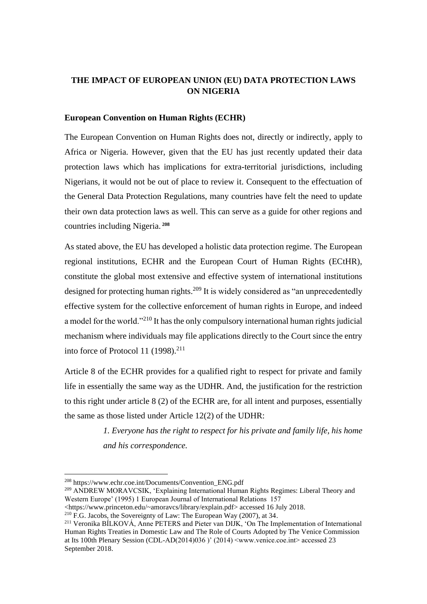#### **THE IMPACT OF EUROPEAN UNION (EU) DATA PROTECTION LAWS ON NIGERIA**

#### **European Convention on Human Rights (ECHR)**

The European Convention on Human Rights does not, directly or indirectly, apply to Africa or Nigeria. However, given that the EU has just recently updated their data protection laws which has implications for extra-territorial jurisdictions, including Nigerians, it would not be out of place to review it. Consequent to the effectuation of the General Data Protection Regulations, many countries have felt the need to update their own data protection laws as well. This can serve as a guide for other regions and countries including Nigeria. **<sup>208</sup>**

As stated above, the EU has developed a holistic data protection regime. The European regional institutions, ECHR and the European Court of Human Rights (ECtHR), constitute the global most extensive and effective system of international institutions designed for protecting human rights.<sup>209</sup> It is widely considered as "an unprecedentedly effective system for the collective enforcement of human rights in Europe, and indeed a model for the world."<sup>210</sup> It has the only compulsory international human rights judicial mechanism where individuals may file applications directly to the Court since the entry into force of Protocol 11 (1998).<sup>211</sup>

Article 8 of the ECHR provides for a qualified right to respect for private and family life in essentially the same way as the UDHR. And, the justification for the restriction to this right under article 8 (2) of the ECHR are, for all intent and purposes, essentially the same as those listed under Article 12(2) of the UDHR:

> *1. Everyone has the right to respect for his private and family life, his home and his correspondence.*

<sup>209</sup> ANDREW MORAVCSIK, 'Explaining International Human Rights Regimes: Liberal Theory and Western Europe' (1995) 1 European Journal of International Relations 157

<https://www.princeton.edu/~amoravcs/library/explain.pdf> accessed 16 July 2018.

<sup>208</sup> https://www.echr.coe.int/Documents/Convention\_ENG.pdf

<sup>210</sup> F.G. Jacobs, the Sovereignty of Law: The European Way (2007), at 34.

<sup>211</sup> Veronika BÍLKOVÁ, Anne PETERS and Pieter van DIJK, 'On The Implementation of International Human Rights Treaties in Domestic Law and The Role of Courts Adopted by The Venice Commission at Its 100th Plenary Session (CDL-AD(2014)036 )' (2014) <www.venice.coe.int> accessed 23 September 2018.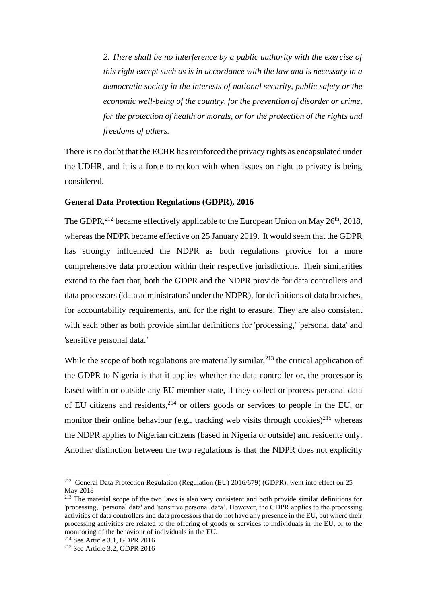*2. There shall be no interference by a public authority with the exercise of this right except such as is in accordance with the law and is necessary in a democratic society in the interests of national security, public safety or the economic well-being of the country, for the prevention of disorder or crime, for the protection of health or morals, or for the protection of the rights and freedoms of others.*

There is no doubt that the ECHR has reinforced the privacy rights as encapsulated under the UDHR, and it is a force to reckon with when issues on right to privacy is being considered.

#### **General Data Protection Regulations (GDPR), 2016**

The GDPR,  $^{212}$  became effectively applicable to the European Union on May 26<sup>th</sup>, 2018, whereas the NDPR became effective on 25 January 2019. It would seem that the GDPR has strongly influenced the NDPR as both regulations provide for a more comprehensive data protection within their respective jurisdictions. Their similarities extend to the fact that, both the GDPR and the NDPR provide for data controllers and data processors ('data administrators' under the NDPR), for definitions of data breaches, for accountability requirements, and for the right to erasure. They are also consistent with each other as both provide similar definitions for 'processing,' 'personal data' and 'sensitive personal data.'

While the scope of both regulations are materially similar,  $2^{13}$  the critical application of the GDPR to Nigeria is that it applies whether the data controller or, the processor is based within or outside any EU member state, if they collect or process personal data of EU citizens and residents, <sup>214</sup> or offers goods or services to people in the EU, or monitor their online behaviour (e.g., tracking web visits through cookies)<sup>215</sup> whereas the NDPR applies to Nigerian citizens (based in Nigeria or outside) and residents only. Another distinction between the two regulations is that the NDPR does not explicitly

<sup>&</sup>lt;sup>212</sup> General Data Protection Regulation (Regulation (EU) 2016/679) (GDPR), went into effect on 25 May 2018

<sup>&</sup>lt;sup>213</sup> The material scope of the two laws is also very consistent and both provide similar definitions for 'processing,' 'personal data' and 'sensitive personal data'. However, the GDPR applies to the processing activities of data controllers and data processors that do not have any presence in the EU, but where their processing activities are related to the offering of goods or services to individuals in the EU, or to the monitoring of the behaviour of individuals in the EU.

<sup>214</sup> See Article 3.1, GDPR 2016

<sup>215</sup> See Article 3.2, GDPR 2016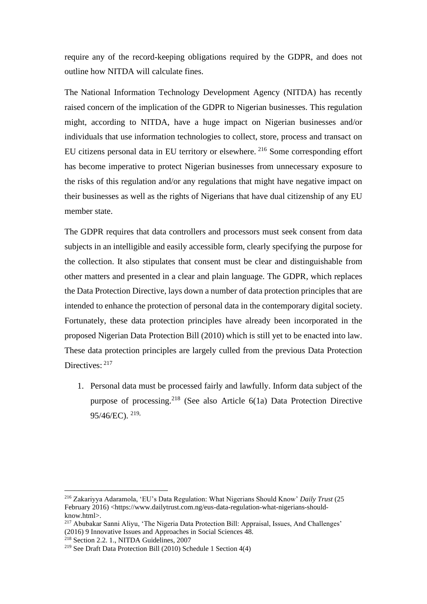require any of the record-keeping obligations required by the GDPR, and does not outline how NITDA will calculate fines.

The National Information Technology Development Agency (NITDA) has recently raised concern of the implication of the GDPR to Nigerian businesses. This regulation might, according to NITDA, have a huge impact on Nigerian businesses and/or individuals that use information technologies to collect, store, process and transact on EU citizens personal data in EU territory or elsewhere. <sup>216</sup> Some corresponding effort has become imperative to protect Nigerian businesses from unnecessary exposure to the risks of this regulation and/or any regulations that might have negative impact on their businesses as well as the rights of Nigerians that have dual citizenship of any EU member state.

The GDPR requires that data controllers and processors must seek consent from data subjects in an intelligible and easily accessible form, clearly specifying the purpose for the collection. It also stipulates that consent must be clear and distinguishable from other matters and presented in a clear and plain language. The GDPR, which replaces the Data Protection Directive, lays down a number of data protection principles that are intended to enhance the protection of personal data in the contemporary digital society. Fortunately, these data protection principles have already been incorporated in the proposed Nigerian Data Protection Bill (2010) which is still yet to be enacted into law. These data protection principles are largely culled from the previous Data Protection Directives:  $217$ 

1. Personal data must be processed fairly and lawfully. Inform data subject of the purpose of processing.<sup>218</sup> (See also Article  $6(1a)$  Data Protection Directive 95/46/EC). 219,

<sup>216</sup> Zakariyya Adaramola, 'EU's Data Regulation: What Nigerians Should Know' *Daily Trust* (25 February 2016) <https://www.dailytrust.com.ng/eus-data-regulation-what-nigerians-shouldknow.html>.

<sup>217</sup> Abubakar Sanni Aliyu, 'The Nigeria Data Protection Bill: Appraisal, Issues, And Challenges' (2016) 9 Innovative Issues and Approaches in Social Sciences 48.

<sup>&</sup>lt;sup>218</sup> Section 2.2. 1., NITDA Guidelines, 2007

<sup>219</sup> See Draft Data Protection Bill (2010) Schedule 1 Section 4(4)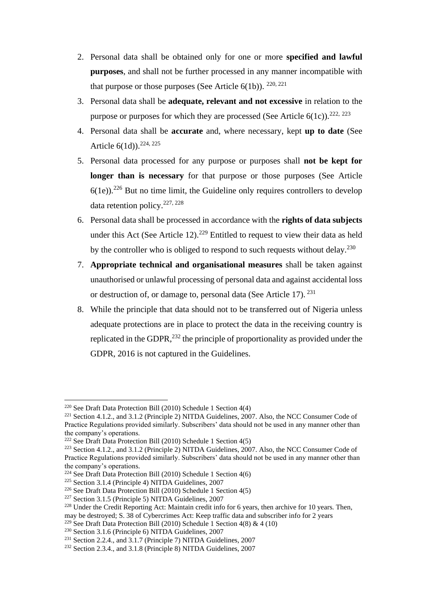- 2. Personal data shall be obtained only for one or more **specified and lawful purposes**, and shall not be further processed in any manner incompatible with that purpose or those purposes (See Article  $6(1b)$ ). <sup>220, 221</sup>
- 3. Personal data shall be **adequate, relevant and not excessive** in relation to the purpose or purposes for which they are processed (See Article  $6(1c)$ ).<sup>222, 223</sup>
- 4. Personal data shall be **accurate** and, where necessary, kept **up to date** (See Article 6(1d)).<sup>224, 225</sup>
- 5. Personal data processed for any purpose or purposes shall **not be kept for longer than is necessary** for that purpose or those purposes (See Article  $6(1e)$ .<sup>226</sup> But no time limit, the Guideline only requires controllers to develop data retention policy.227, 228
- 6. Personal data shall be processed in accordance with the **rights of data subjects** under this Act (See Article 12).<sup>229</sup> Entitled to request to view their data as held by the controller who is obliged to respond to such requests without delay.<sup>230</sup>
- 7. **Appropriate technical and organisational measures** shall be taken against unauthorised or unlawful processing of personal data and against accidental loss or destruction of, or damage to, personal data (See Article 17). <sup>231</sup>
- 8. While the principle that data should not to be transferred out of Nigeria unless adequate protections are in place to protect the data in the receiving country is replicated in the GDPR, $^{232}$  the principle of proportionality as provided under the GDPR, 2016 is not captured in the Guidelines.

may be destroyed; S. 38 of Cybercrimes Act: Keep traffic data and subscriber info for 2 years

<sup>220</sup> See Draft Data Protection Bill (2010) Schedule 1 Section 4(4)

<sup>&</sup>lt;sup>221</sup> Section 4.1.2., and 3.1.2 (Principle 2) NITDA Guidelines,  $2007$ . Also, the NCC Consumer Code of Practice Regulations provided similarly. Subscribers' data should not be used in any manner other than the company's operations.

<sup>&</sup>lt;sup>222</sup> See Draft Data Protection Bill (2010) Schedule 1 Section  $4(5)$ 

<sup>&</sup>lt;sup>223</sup> Section 4.1.2., and 3.1.2 (Principle 2) NITDA Guidelines, 2007. Also, the NCC Consumer Code of Practice Regulations provided similarly. Subscribers' data should not be used in any manner other than the company's operations.

<sup>&</sup>lt;sup>224</sup> See Draft Data Protection Bill (2010) Schedule 1 Section  $4(6)$ 

<sup>225</sup> Section 3.1.4 (Principle 4) NITDA Guidelines, 2007

<sup>226</sup> See Draft Data Protection Bill (2010) Schedule 1 Section 4(5)

 $227$  Section 3.1.5 (Principle 5) NITDA Guidelines, 2007

<sup>&</sup>lt;sup>228</sup> Under the Credit Reporting Act: Maintain credit info for 6 years, then archive for 10 years. Then,

<sup>&</sup>lt;sup>229</sup> See Draft Data Protection Bill (2010) Schedule 1 Section 4(8) & 4 (10)

<sup>230</sup> Section 3.1.6 (Principle 6) NITDA Guidelines, 2007

<sup>&</sup>lt;sup>231</sup> Section 2.2.4., and  $3.1.7$  (Principle 7) NITDA Guidelines, 2007

 $232$  Section 2.3.4., and 3.1.8 (Principle 8) NITDA Guidelines, 2007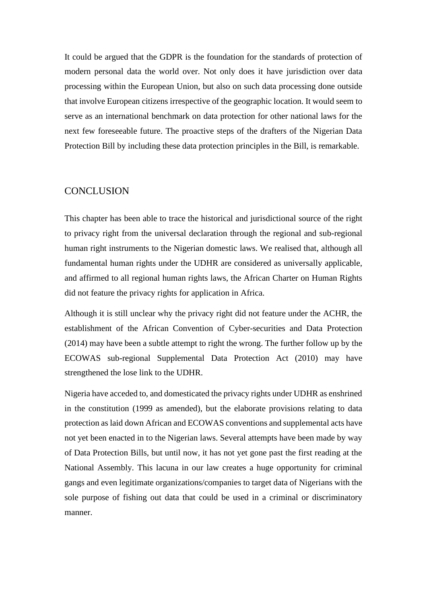It could be argued that the GDPR is the foundation for the standards of protection of modern personal data the world over. Not only does it have jurisdiction over data processing within the European Union, but also on such data processing done outside that involve European citizens irrespective of the geographic location. It would seem to serve as an international benchmark on data protection for other national laws for the next few foreseeable future. The proactive steps of the drafters of the Nigerian Data Protection Bill by including these data protection principles in the Bill, is remarkable.

#### **CONCLUSION**

This chapter has been able to trace the historical and jurisdictional source of the right to privacy right from the universal declaration through the regional and sub-regional human right instruments to the Nigerian domestic laws. We realised that, although all fundamental human rights under the UDHR are considered as universally applicable, and affirmed to all regional human rights laws, the African Charter on Human Rights did not feature the privacy rights for application in Africa.

Although it is still unclear why the privacy right did not feature under the ACHR, the establishment of the African Convention of Cyber-securities and Data Protection (2014) may have been a subtle attempt to right the wrong. The further follow up by the ECOWAS sub-regional Supplemental Data Protection Act (2010) may have strengthened the lose link to the UDHR.

Nigeria have acceded to, and domesticated the privacy rights under UDHR as enshrined in the constitution (1999 as amended), but the elaborate provisions relating to data protection as laid down African and ECOWAS conventions and supplemental acts have not yet been enacted in to the Nigerian laws. Several attempts have been made by way of Data Protection Bills, but until now, it has not yet gone past the first reading at the National Assembly. This lacuna in our law creates a huge opportunity for criminal gangs and even legitimate organizations/companies to target data of Nigerians with the sole purpose of fishing out data that could be used in a criminal or discriminatory manner.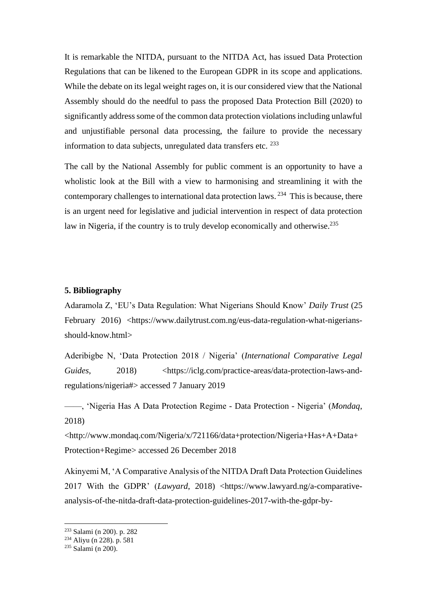It is remarkable the NITDA, pursuant to the NITDA Act, has issued Data Protection Regulations that can be likened to the European GDPR in its scope and applications. While the debate on its legal weight rages on, it is our considered view that the National Assembly should do the needful to pass the proposed Data Protection Bill (2020) to significantly address some of the common data protection violations including unlawful and unjustifiable personal data processing, the failure to provide the necessary information to data subjects, unregulated data transfers etc. <sup>233</sup>

The call by the National Assembly for public comment is an opportunity to have a wholistic look at the Bill with a view to harmonising and streamlining it with the contemporary challenges to international data protection laws.<sup>234</sup> This is because, there is an urgent need for legislative and judicial intervention in respect of data protection law in Nigeria, if the country is to truly develop economically and otherwise.<sup>235</sup>

#### **5. Bibliography**

Adaramola Z, 'EU's Data Regulation: What Nigerians Should Know' *Daily Trust* (25 February 2016) <https://www.dailytrust.com.ng/eus-data-regulation-what-nigeriansshould-know.html>

Aderibigbe N, 'Data Protection 2018 / Nigeria' (*International Comparative Legal Guides*, 2018) <https://iclg.com/practice-areas/data-protection-laws-andregulations/nigeria#> accessed 7 January 2019

——, 'Nigeria Has A Data Protection Regime - Data Protection - Nigeria' (*Mondaq*, 2018)

<http://www.mondaq.com/Nigeria/x/721166/data+protection/Nigeria+Has+A+Data+ Protection+Regime> accessed 26 December 2018

Akinyemi M, 'A Comparative Analysis of the NITDA Draft Data Protection Guidelines 2017 With the GDPR' (*Lawyard*, 2018) <https://www.lawyard.ng/a-comparativeanalysis-of-the-nitda-draft-data-protection-guidelines-2017-with-the-gdpr-by-

<sup>233</sup> Salami (n 200). p. 282

 $234$  Aliyu (n 228). p. 581

 $235$  Salami (n 200).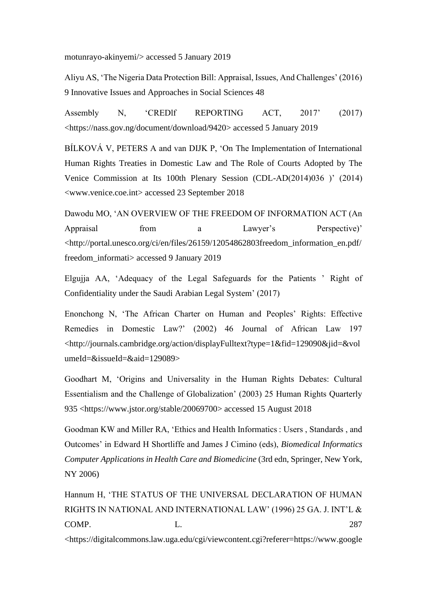motunrayo-akinyemi/> accessed 5 January 2019

Aliyu AS, 'The Nigeria Data Protection Bill: Appraisal, Issues, And Challenges' (2016) 9 Innovative Issues and Approaches in Social Sciences 48

Assembly N, 'CREDlf REPORTING ACT, 2017' (2017) <https://nass.gov.ng/document/download/9420> accessed 5 January 2019

BÍLKOVÁ V, PETERS A and van DIJK P, 'On The Implementation of International Human Rights Treaties in Domestic Law and The Role of Courts Adopted by The Venice Commission at Its 100th Plenary Session (CDL-AD(2014)036 )' (2014) <www.venice.coe.int> accessed 23 September 2018

Dawodu MO, 'AN OVERVIEW OF THE FREEDOM OF INFORMATION ACT (An Appraisal from a Lawyer's Perspective)' <http://portal.unesco.org/ci/en/files/26159/12054862803freedom\_information\_en.pdf/ freedom\_informati> accessed 9 January 2019

Elgujja AA, 'Adequacy of the Legal Safeguards for the Patients ' Right of Confidentiality under the Saudi Arabian Legal System' (2017)

Enonchong N, 'The African Charter on Human and Peoples' Rights: Effective Remedies in Domestic Law?' (2002) 46 Journal of African Law 197 <http://journals.cambridge.org/action/displayFulltext?type=1&fid=129090&jid=&vol umeId=&issueId=&aid=129089>

Goodhart M, 'Origins and Universality in the Human Rights Debates: Cultural Essentialism and the Challenge of Globalization' (2003) 25 Human Rights Quarterly 935 <https://www.jstor.org/stable/20069700> accessed 15 August 2018

Goodman KW and Miller RA, 'Ethics and Health Informatics : Users , Standards , and Outcomes' in Edward H Shortliffe and James J Cimino (eds), *Biomedical Informatics Computer Applications in Health Care and Biomedicine* (3rd edn, Springer, New York, NY 2006)

Hannum H, 'THE STATUS OF THE UNIVERSAL DECLARATION OF HUMAN RIGHTS IN NATIONAL AND INTERNATIONAL LAW' (1996) 25 GA. J. INT'L & COMP. L. L. 287

<https://digitalcommons.law.uga.edu/cgi/viewcontent.cgi?referer=https://www.google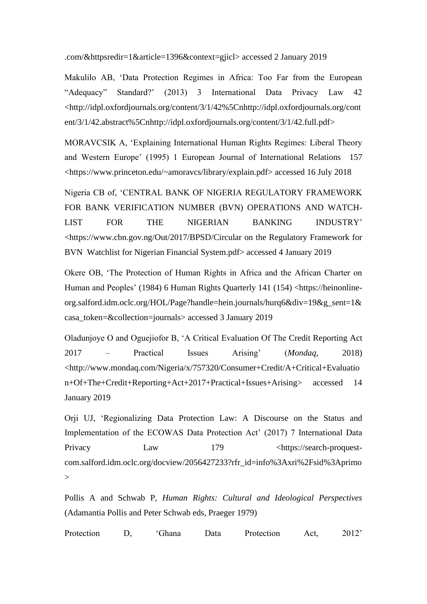.com/&httpsredir=1&article=1396&context=gjicl> accessed 2 January 2019

Makulilo AB, 'Data Protection Regimes in Africa: Too Far from the European "Adequacy" Standard?' (2013) 3 International Data Privacy Law 42 <http://idpl.oxfordjournals.org/content/3/1/42%5Cnhttp://idpl.oxfordjournals.org/cont ent/3/1/42.abstract%5Cnhttp://idpl.oxfordjournals.org/content/3/1/42.full.pdf>

MORAVCSIK A, 'Explaining International Human Rights Regimes: Liberal Theory and Western Europe' (1995) 1 European Journal of International Relations 157 <https://www.princeton.edu/~amoravcs/library/explain.pdf> accessed 16 July 2018

Nigeria CB of, 'CENTRAL BANK OF NIGERIA REGULATORY FRAMEWORK FOR BANK VERIFICATION NUMBER (BVN) OPERATIONS AND WATCH-LIST FOR THE NIGERIAN BANKING INDUSTRY' <https://www.cbn.gov.ng/Out/2017/BPSD/Circular on the Regulatory Framework for BVN Watchlist for Nigerian Financial System.pdf> accessed 4 January 2019

Okere OB, 'The Protection of Human Rights in Africa and the African Charter on Human and Peoples' (1984) 6 Human Rights Quarterly 141 (154) <https://heinonlineorg.salford.idm.oclc.org/HOL/Page?handle=hein.journals/hurq6&div=19&g\_sent=1& casa\_token=&collection=journals> accessed 3 January 2019

Oladunjoye O and Oguejiofor B, 'A Critical Evaluation Of The Credit Reporting Act 2017 – Practical Issues Arising' (*Mondaq*, 2018) <http://www.mondaq.com/Nigeria/x/757320/Consumer+Credit/A+Critical+Evaluatio n+Of+The+Credit+Reporting+Act+2017+Practical+Issues+Arising> accessed 14 January 2019

Orji UJ, 'Regionalizing Data Protection Law: A Discourse on the Status and Implementation of the ECOWAS Data Protection Act' (2017) 7 International Data Privacy Law 179 <https://search-proquestcom.salford.idm.oclc.org/docview/2056427233?rfr\_id=info%3Axri%2Fsid%3Aprimo  $\geq$ 

Pollis A and Schwab P, *Human Rights: Cultural and Ideological Perspectives* (Adamantia Pollis and Peter Schwab eds, Praeger 1979)

Protection D, 'Ghana Data Protection Act, 2012'